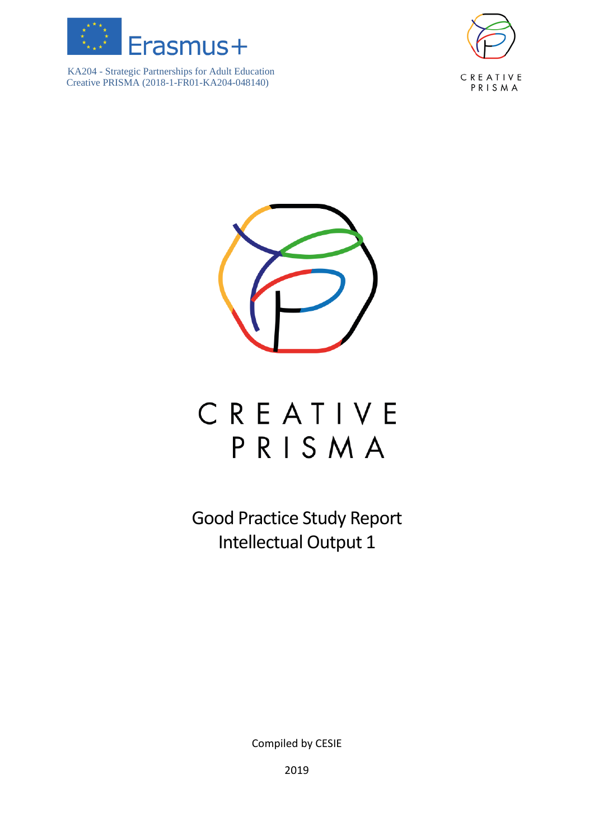





# CREATIVE PRISMA

Good Practice Study Report Intellectual Output 1

Compiled by CESIE

2019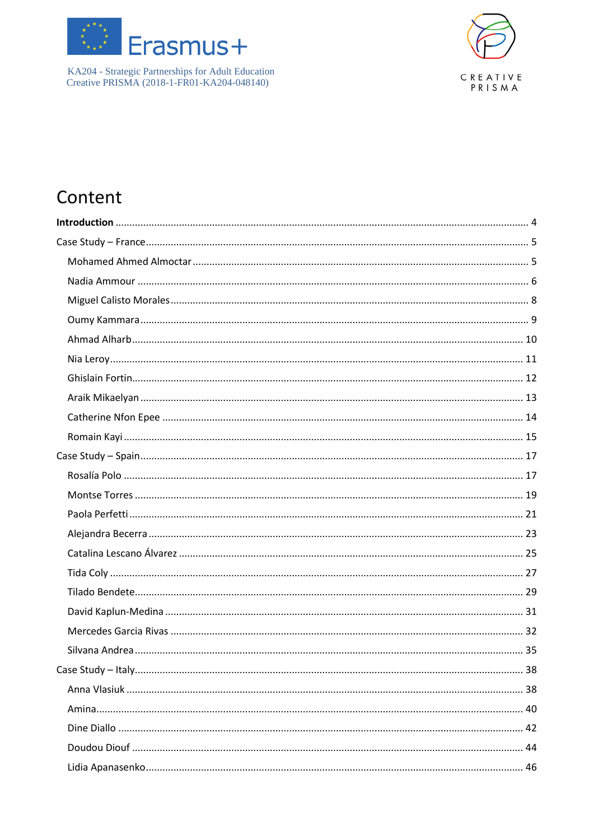



## Content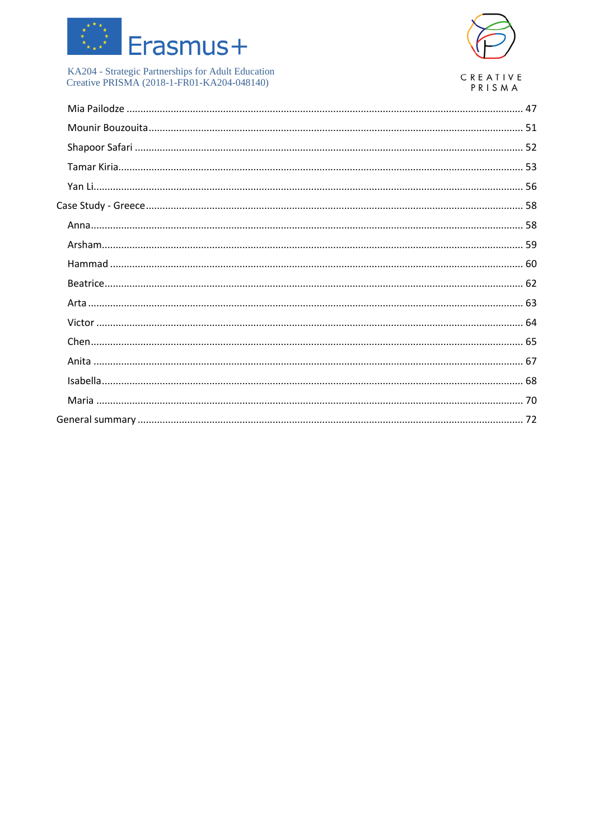

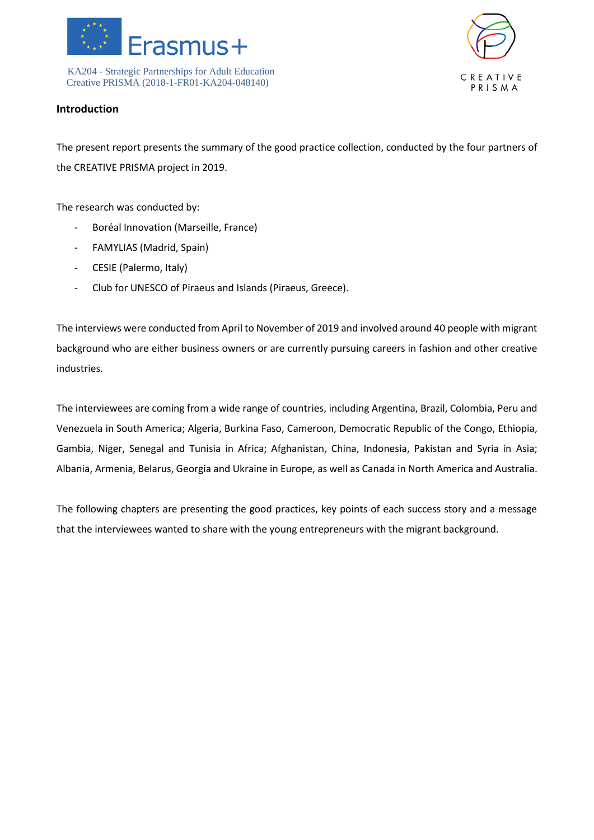



### <span id="page-3-0"></span>**Introduction**

The present report presents the summary of the good practice collection, conducted by the four partners of the CREATIVE PRISMA project in 2019.

The research was conducted by:

- Boréal Innovation (Marseille, France)
- FAMYLIAS (Madrid, Spain)
- CESIE (Palermo, Italy)
- Club for UNESCO of Piraeus and Islands (Piraeus, Greece).

The interviews were conducted from April to November of 2019 and involved around 40 people with migrant background who are either business owners or are currently pursuing careers in fashion and other creative industries.

The interviewees are coming from a wide range of countries, including Argentina, Brazil, Colombia, Peru and Venezuela in South America; Algeria, Burkina Faso, Cameroon, Democratic Republic of the Congo, Ethiopia, Gambia, Niger, Senegal and Tunisia in Africa; Afghanistan, China, Indonesia, Pakistan and Syria in Asia; Albania, Armenia, Belarus, Georgia and Ukraine in Europe, as well as Canada in North America and Australia.

The following chapters are presenting the good practices, key points of each success story and a message that the interviewees wanted to share with the young entrepreneurs with the migrant background.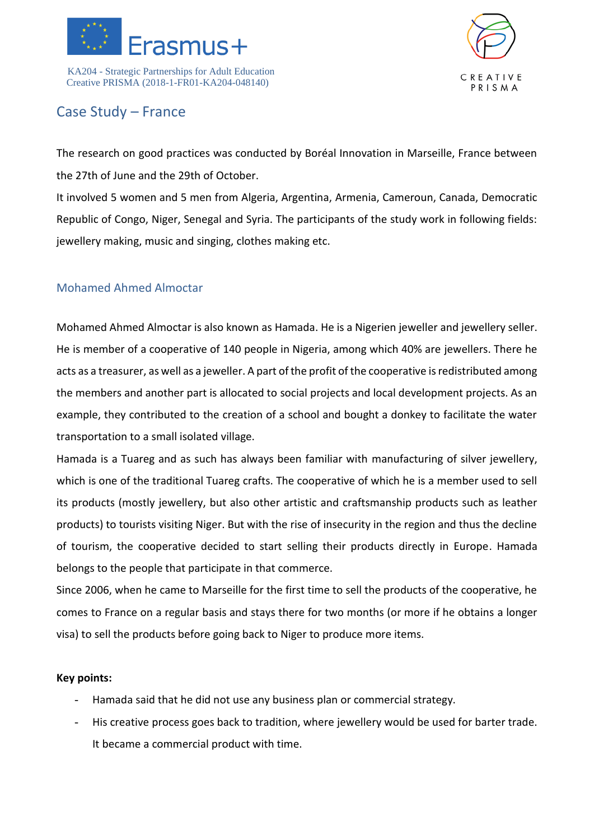



### <span id="page-4-0"></span>Case Study – France

The research on good practices was conducted by Boréal Innovation in Marseille, France between the 27th of June and the 29th of October.

It involved 5 women and 5 men from Algeria, Argentina, Armenia, Cameroun, Canada, Democratic Republic of Congo, Niger, Senegal and Syria. The participants of the study work in following fields: jewellery making, music and singing, clothes making etc.

### <span id="page-4-1"></span>Mohamed Ahmed Almoctar

Mohamed Ahmed Almoctar is also known as Hamada. He is a Nigerien jeweller and jewellery seller. He is member of a cooperative of 140 people in Nigeria, among which 40% are jewellers. There he acts as a treasurer, as well as a jeweller. A part of the profit of the cooperative is redistributed among the members and another part is allocated to social projects and local development projects. As an example, they contributed to the creation of a school and bought a donkey to facilitate the water transportation to a small isolated village.

Hamada is a Tuareg and as such has always been familiar with manufacturing of silver jewellery, which is one of the traditional Tuareg crafts. The cooperative of which he is a member used to sell its products (mostly jewellery, but also other artistic and craftsmanship products such as leather products) to tourists visiting Niger. But with the rise of insecurity in the region and thus the decline of tourism, the cooperative decided to start selling their products directly in Europe. Hamada belongs to the people that participate in that commerce.

Since 2006, when he came to Marseille for the first time to sell the products of the cooperative, he comes to France on a regular basis and stays there for two months (or more if he obtains a longer visa) to sell the products before going back to Niger to produce more items.

- Hamada said that he did not use any business plan or commercial strategy.
- His creative process goes back to tradition, where jewellery would be used for barter trade. It became a commercial product with time.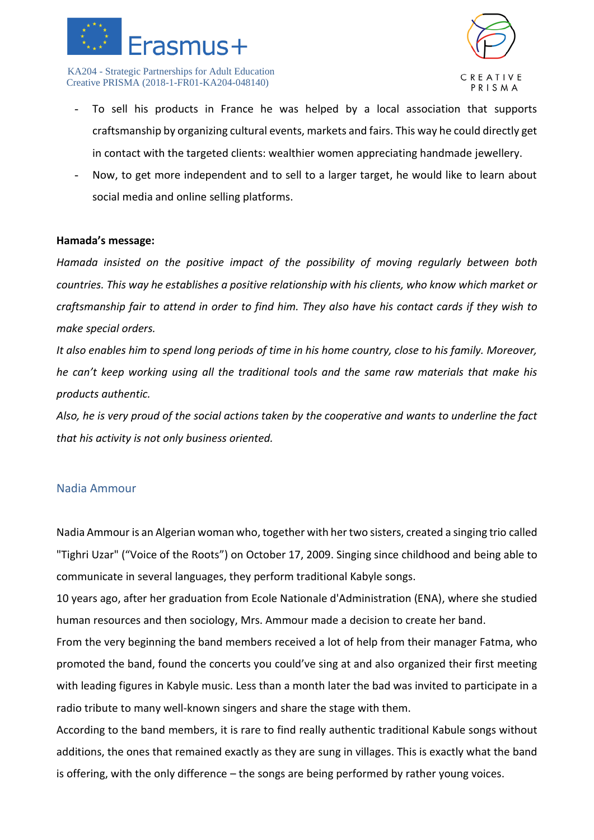



- To sell his products in France he was helped by a local association that supports craftsmanship by organizing cultural events, markets and fairs. This way he could directly get in contact with the targeted clients: wealthier women appreciating handmade jewellery.
- Now, to get more independent and to sell to a larger target, he would like to learn about social media and online selling platforms.

### **Hamada's message:**

*Hamada insisted on the positive impact of the possibility of moving regularly between both countries. This way he establishes a positive relationship with his clients, who know which market or craftsmanship fair to attend in order to find him. They also have his contact cards if they wish to make special orders.* 

*It also enables him to spend long periods of time in his home country, close to his family. Moreover, he can't keep working using all the traditional tools and the same raw materials that make his products authentic.*

*Also, he is very proud of the social actions taken by the cooperative and wants to underline the fact that his activity is not only business oriented.*

### <span id="page-5-0"></span>Nadia Ammour

Nadia Ammour is an Algerian woman who, together with her two sisters, created a singing trio called "Tighri Uzar" ("Voice of the Roots") on October 17, 2009. Singing since childhood and being able to communicate in several languages, they perform traditional Kabyle songs.

10 years ago, after her graduation from Ecole Nationale d'Administration (ENA), where she studied human resources and then sociology, Mrs. Ammour made a decision to create her band.

From the very beginning the band members received a lot of help from their manager Fatma, who promoted the band, found the concerts you could've sing at and also organized their first meeting with leading figures in Kabyle music. Less than a month later the bad was invited to participate in a radio tribute to many well-known singers and share the stage with them.

According to the band members, it is rare to find really authentic traditional Kabule songs without additions, the ones that remained exactly as they are sung in villages. This is exactly what the band is offering, with the only difference – the songs are being performed by rather young voices.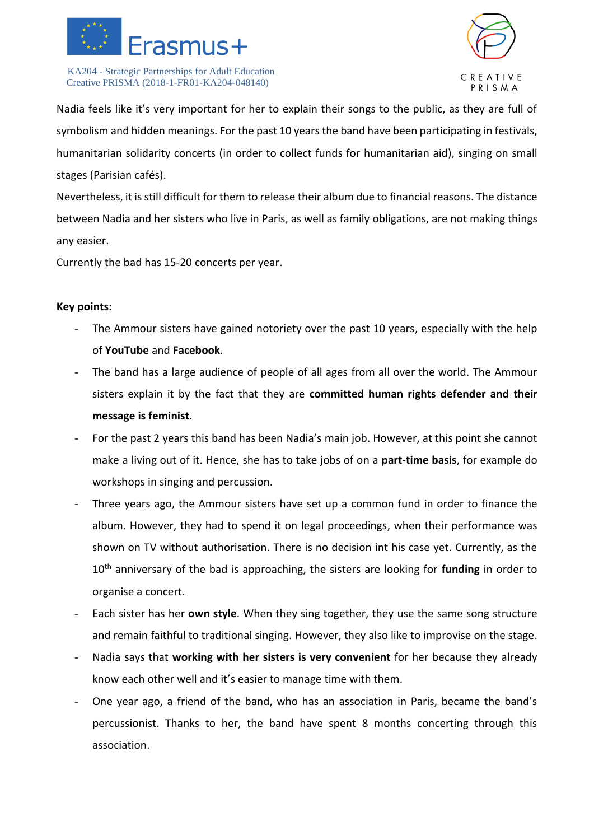



Nadia feels like it's very important for her to explain their songs to the public, as they are full of symbolism and hidden meanings. For the past 10 years the band have been participating in festivals, humanitarian solidarity concerts (in order to collect funds for humanitarian aid), singing on small stages (Parisian cafés).

Nevertheless, it is still difficult for them to release their album due to financial reasons. The distance between Nadia and her sisters who live in Paris, as well as family obligations, are not making things any easier.

Currently the bad has 15-20 concerts per year.

- The Ammour sisters have gained notoriety over the past 10 years, especially with the help of **YouTube** and **Facebook**.
- The band has a large audience of people of all ages from all over the world. The Ammour sisters explain it by the fact that they are **committed human rights defender and their message is feminist**.
- For the past 2 years this band has been Nadia's main job. However, at this point she cannot make a living out of it. Hence, she has to take jobs of on a **part-time basis**, for example do workshops in singing and percussion.
- Three years ago, the Ammour sisters have set up a common fund in order to finance the album. However, they had to spend it on legal proceedings, when their performance was shown on TV without authorisation. There is no decision int his case yet. Currently, as the 10th anniversary of the bad is approaching, the sisters are looking for **funding** in order to organise a concert.
- Each sister has her **own style**. When they sing together, they use the same song structure and remain faithful to traditional singing. However, they also like to improvise on the stage.
- Nadia says that **working with her sisters is very convenient** for her because they already know each other well and it's easier to manage time with them.
- One year ago, a friend of the band, who has an association in Paris, became the band's percussionist. Thanks to her, the band have spent 8 months concerting through this association.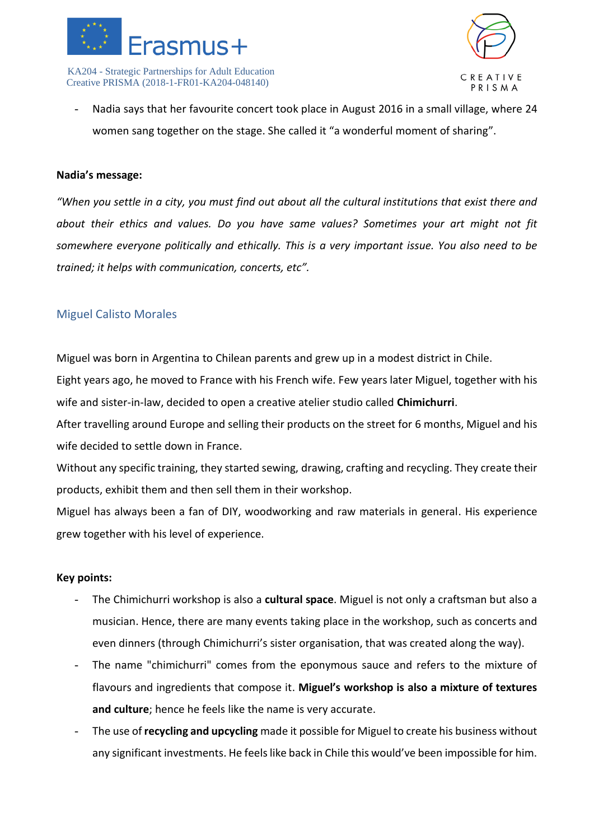



Nadia says that her favourite concert took place in August 2016 in a small village, where 24 women sang together on the stage. She called it "a wonderful moment of sharing".

### **Nadia's message:**

*"When you settle in a city, you must find out about all the cultural institutions that exist there and about their ethics and values. Do you have same values? Sometimes your art might not fit somewhere everyone politically and ethically. This is a very important issue. You also need to be trained; it helps with communication, concerts, etc".*

### <span id="page-7-0"></span>Miguel Calisto Morales

Miguel was born in Argentina to Chilean parents and grew up in a modest district in Chile.

Eight years ago, he moved to France with his French wife. Few years later Miguel, together with his wife and sister-in-law, decided to open a creative atelier studio called **Chimichurri**.

After travelling around Europe and selling their products on the street for 6 months, Miguel and his wife decided to settle down in France.

Without any specific training, they started sewing, drawing, crafting and recycling. They create their products, exhibit them and then sell them in their workshop.

Miguel has always been a fan of DIY, woodworking and raw materials in general. His experience grew together with his level of experience.

- The Chimichurri workshop is also a **cultural space**. Miguel is not only a craftsman but also a musician. Hence, there are many events taking place in the workshop, such as concerts and even dinners (through Chimichurri's sister organisation, that was created along the way).
- The name "chimichurri" comes from the eponymous sauce and refers to the mixture of flavours and ingredients that compose it. **Miguel's workshop is also a mixture of textures and culture**; hence he feels like the name is very accurate.
- The use of **recycling and upcycling** made it possible for Miguel to create his business without any significant investments. He feels like back in Chile this would've been impossible for him.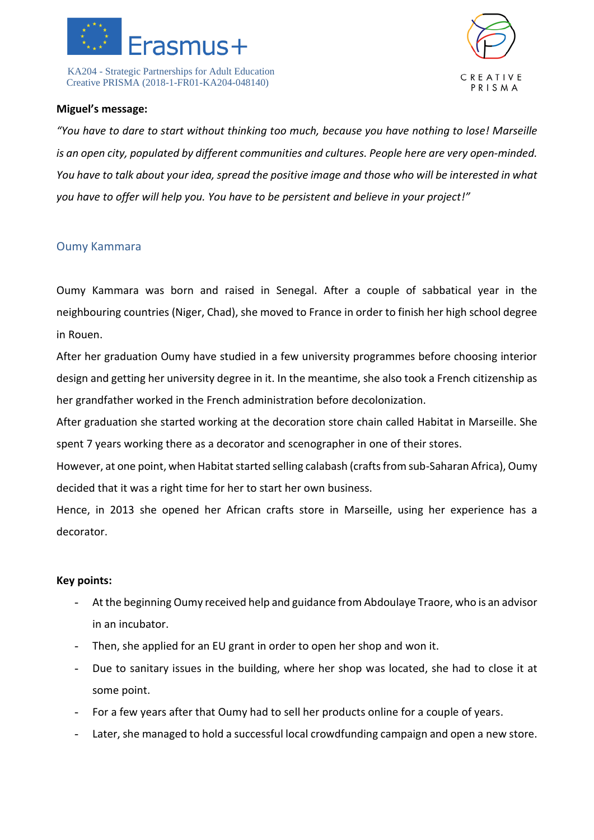



### **Miguel's message:**

*"You have to dare to start without thinking too much, because you have nothing to lose! Marseille is an open city, populated by different communities and cultures. People here are very open-minded. You have to talk about your idea, spread the positive image and those who will be interested in what you have to offer will help you. You have to be persistent and believe in your project!"*

### <span id="page-8-0"></span>Oumy Kammara

Oumy Kammara was born and raised in Senegal. After a couple of sabbatical year in the neighbouring countries (Niger, Chad), she moved to France in order to finish her high school degree in Rouen.

After her graduation Oumy have studied in a few university programmes before choosing interior design and getting her university degree in it. In the meantime, she also took a French citizenship as her grandfather worked in the French administration before decolonization.

After graduation she started working at the decoration store chain called Habitat in Marseille. She spent 7 years working there as a decorator and scenographer in one of their stores.

However, at one point, when Habitat started selling calabash (crafts from sub-Saharan Africa), Oumy decided that it was a right time for her to start her own business.

Hence, in 2013 she opened her African crafts store in Marseille, using her experience has a decorator.

- At the beginning Oumy received help and guidance from Abdoulaye Traore, who is an advisor in an incubator.
- Then, she applied for an EU grant in order to open her shop and won it.
- Due to sanitary issues in the building, where her shop was located, she had to close it at some point.
- For a few years after that Oumy had to sell her products online for a couple of years.
- Later, she managed to hold a successful local crowdfunding campaign and open a new store.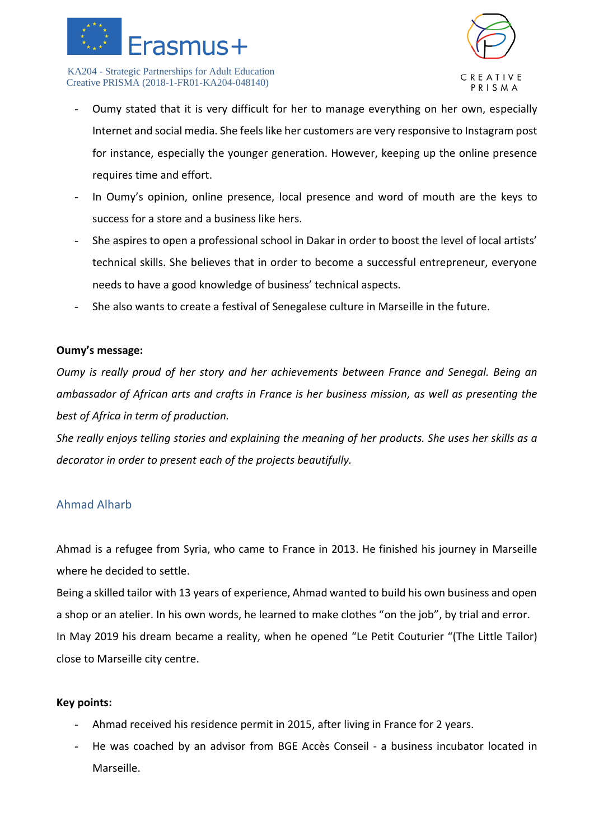



- Oumy stated that it is very difficult for her to manage everything on her own, especially Internet and social media. She feels like her customers are very responsive to Instagram post for instance, especially the younger generation. However, keeping up the online presence requires time and effort.
- In Oumy's opinion, online presence, local presence and word of mouth are the keys to success for a store and a business like hers.
- She aspires to open a professional school in Dakar in order to boost the level of local artists' technical skills. She believes that in order to become a successful entrepreneur, everyone needs to have a good knowledge of business' technical aspects.
- She also wants to create a festival of Senegalese culture in Marseille in the future.

### **Oumy's message:**

*Oumy is really proud of her story and her achievements between France and Senegal. Being an ambassador of African arts and crafts in France is her business mission, as well as presenting the best of Africa in term of production.*

*She really enjoys telling stories and explaining the meaning of her products. She uses her skills as a decorator in order to present each of the projects beautifully.* 

### <span id="page-9-0"></span>Ahmad Alharb

Ahmad is a refugee from Syria, who came to France in 2013. He finished his journey in Marseille where he decided to settle.

Being a skilled tailor with 13 years of experience, Ahmad wanted to build his own business and open a shop or an atelier. In his own words, he learned to make clothes "on the job", by trial and error. In May 2019 his dream became a reality, when he opened "Le Petit Couturier "(The Little Tailor) close to Marseille city centre.

- Ahmad received his residence permit in 2015, after living in France for 2 years.
- He was coached by an advisor from BGE Accès Conseil a business incubator located in Marseille.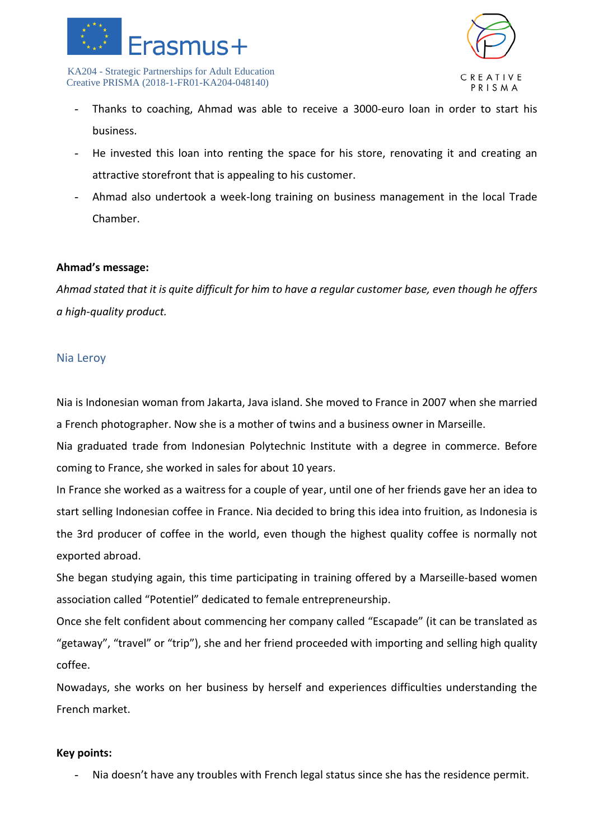



- Thanks to coaching, Ahmad was able to receive a 3000-euro loan in order to start his business.
- He invested this loan into renting the space for his store, renovating it and creating an attractive storefront that is appealing to his customer.
- Ahmad also undertook a week-long training on business management in the local Trade Chamber.

### **Ahmad's message:**

*Ahmad stated that it is quite difficult for him to have a regular customer base, even though he offers a high-quality product.* 

### <span id="page-10-0"></span>Nia Leroy

Nia is Indonesian woman from Jakarta, Java island. She moved to France in 2007 when she married a French photographer. Now she is a mother of twins and a business owner in Marseille.

Nia graduated trade from Indonesian Polytechnic Institute with a degree in commerce. Before coming to France, she worked in sales for about 10 years.

In France she worked as a waitress for a couple of year, until one of her friends gave her an idea to start selling Indonesian coffee in France. Nia decided to bring this idea into fruition, as Indonesia is the 3rd producer of coffee in the world, even though the highest quality coffee is normally not exported abroad.

She began studying again, this time participating in training offered by a Marseille-based women association called "Potentiel" dedicated to female entrepreneurship.

Once she felt confident about commencing her company called "Escapade" (it can be translated as "getaway", "travel" or "trip"), she and her friend proceeded with importing and selling high quality coffee.

Nowadays, she works on her business by herself and experiences difficulties understanding the French market.

### **Key points:**

- Nia doesn't have any troubles with French legal status since she has the residence permit.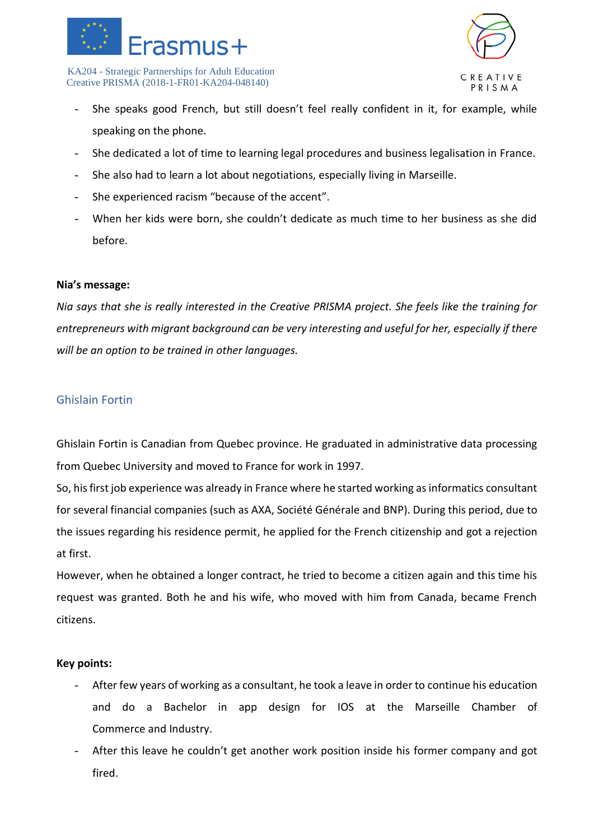



- She speaks good French, but still doesn't feel really confident in it, for example, while speaking on the phone.
- She dedicated a lot of time to learning legal procedures and business legalisation in France.
- She also had to learn a lot about negotiations, especially living in Marseille.
- She experienced racism "because of the accent".
- When her kids were born, she couldn't dedicate as much time to her business as she did before.

### **Nia's message:**

*Nia says that she is really interested in the Creative PRISMA project. She feels like the training for entrepreneurs with migrant background can be very interesting and useful for her, especially if there will be an option to be trained in other languages.* 

### <span id="page-11-0"></span>Ghislain Fortin

Ghislain Fortin is Canadian from Quebec province. He graduated in administrative data processing from Quebec University and moved to France for work in 1997.

So, his first job experience was already in France where he started working as informatics consultant for several financial companies (such as AXA, Société Générale and BNP). During this period, due to the issues regarding his residence permit, he applied for the French citizenship and got a rejection at first.

However, when he obtained a longer contract, he tried to become a citizen again and this time his request was granted. Both he and his wife, who moved with him from Canada, became French citizens.

- After few years of working as a consultant, he took a leave in order to continue his education and do a Bachelor in app design for IOS at the Marseille Chamber of Commerce and Industry.
- After this leave he couldn't get another work position inside his former company and got fired.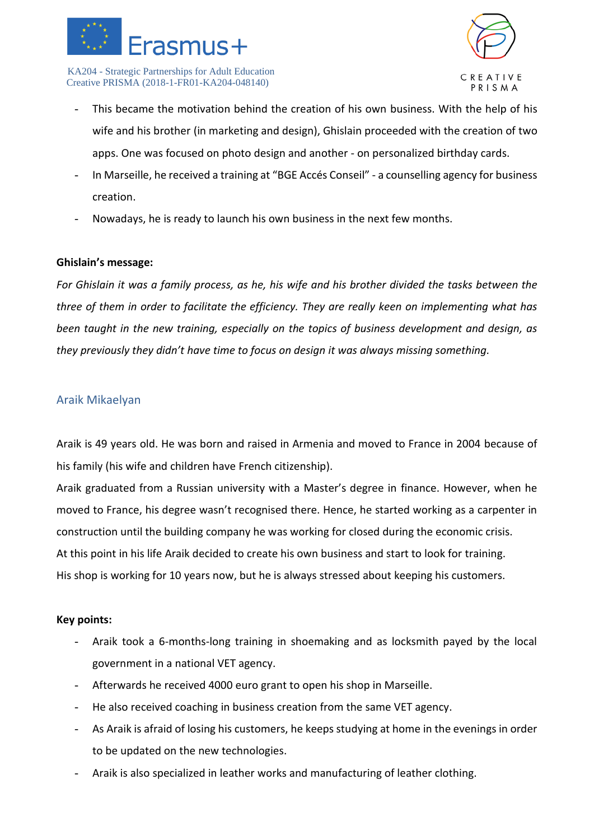



- This became the motivation behind the creation of his own business. With the help of his wife and his brother (in marketing and design), Ghislain proceeded with the creation of two apps. One was focused on photo design and another - on personalized birthday cards.
- In Marseille, he received a training at "BGE Accés Conseil" a counselling agency for business creation.
- Nowadays, he is ready to launch his own business in the next few months.

### **Ghislain's message:**

*For Ghislain it was a family process, as he, his wife and his brother divided the tasks between the three of them in order to facilitate the efficiency. They are really keen on implementing what has been taught in the new training, especially on the topics of business development and design, as they previously they didn't have time to focus on design it was always missing something.*

### <span id="page-12-0"></span>Araik Mikaelyan

Araik is 49 years old. He was born and raised in Armenia and moved to France in 2004 because of his family (his wife and children have French citizenship).

Araik graduated from a Russian university with a Master's degree in finance. However, when he moved to France, his degree wasn't recognised there. Hence, he started working as a carpenter in construction until the building company he was working for closed during the economic crisis. At this point in his life Araik decided to create his own business and start to look for training. His shop is working for 10 years now, but he is always stressed about keeping his customers.

- Araik took a 6-months-long training in shoemaking and as locksmith payed by the local government in a national VET agency.
- Afterwards he received 4000 euro grant to open his shop in Marseille.
- He also received coaching in business creation from the same VET agency.
- As Araik is afraid of losing his customers, he keeps studying at home in the evenings in order to be updated on the new technologies.
- Araik is also specialized in leather works and manufacturing of leather clothing.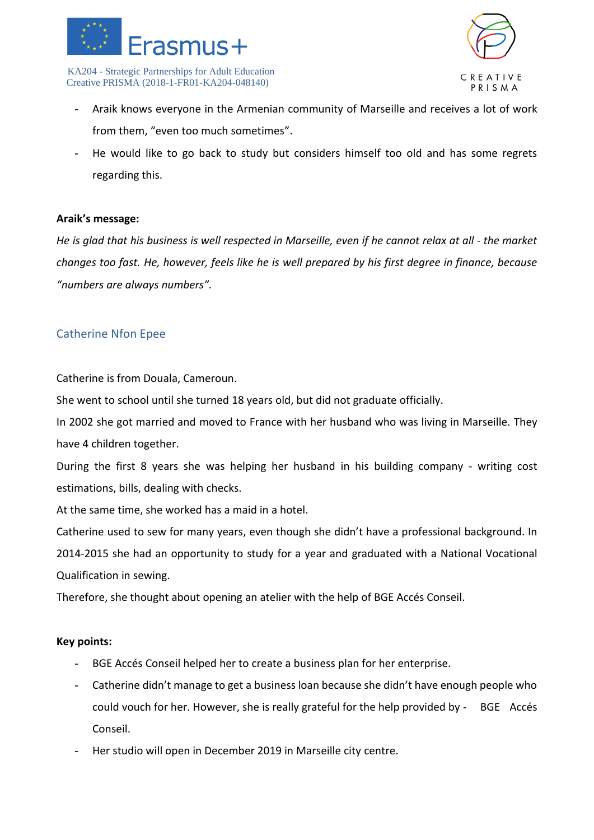



- Araik knows everyone in the Armenian community of Marseille and receives a lot of work from them, "even too much sometimes".
- He would like to go back to study but considers himself too old and has some regrets regarding this.

### **Araik's message:**

*He is glad that his business is well respected in Marseille, even if he cannot relax at all - the market changes too fast. He, however, feels like he is well prepared by his first degree in finance, because "numbers are always numbers".*

### <span id="page-13-0"></span>Catherine Nfon Epee

Catherine is from Douala, Cameroun.

She went to school until she turned 18 years old, but did not graduate officially.

In 2002 she got married and moved to France with her husband who was living in Marseille. They have 4 children together.

During the first 8 years she was helping her husband in his building company - writing cost estimations, bills, dealing with checks.

At the same time, she worked has a maid in a hotel.

Catherine used to sew for many years, even though she didn't have a professional background. In 2014-2015 she had an opportunity to study for a year and graduated with a National Vocational Qualification in sewing.

Therefore, she thought about opening an atelier with the help of BGE Accés Conseil.

- BGE Accés Conseil helped her to create a business plan for her enterprise.
- Catherine didn't manage to get a business loan because she didn't have enough people who could vouch for her. However, she is really grateful for the help provided by - BGE Accés Conseil.
- Her studio will open in December 2019 in Marseille city centre.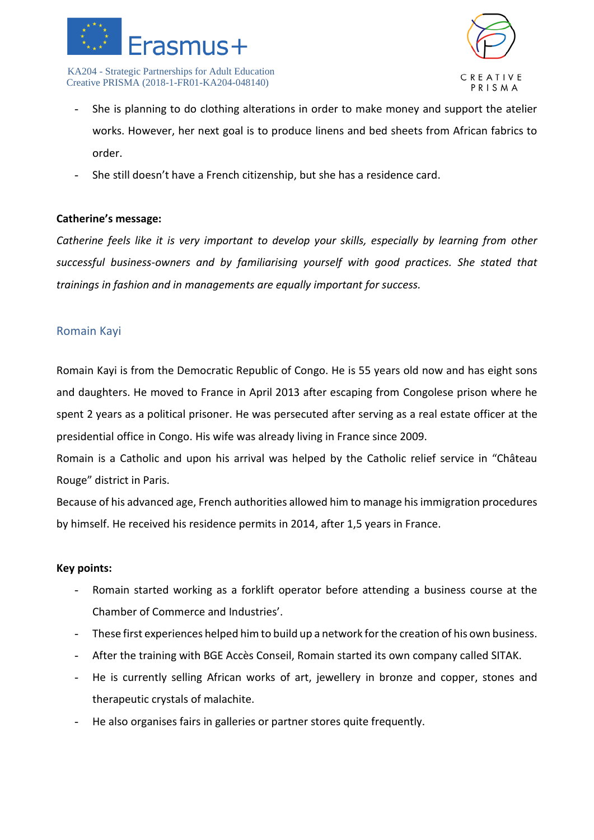



- She is planning to do clothing alterations in order to make money and support the atelier works. However, her next goal is to produce linens and bed sheets from African fabrics to order.
- She still doesn't have a French citizenship, but she has a residence card.

### **Catherine's message:**

*Catherine feels like it is very important to develop your skills, especially by learning from other successful business-owners and by familiarising yourself with good practices. She stated that trainings in fashion and in managements are equally important for success.* 

### <span id="page-14-0"></span>Romain Kayi

Romain Kayi is from the Democratic Republic of Congo. He is 55 years old now and has eight sons and daughters. He moved to France in April 2013 after escaping from Congolese prison where he spent 2 years as a political prisoner. He was persecuted after serving as a real estate officer at the presidential office in Congo. His wife was already living in France since 2009.

Romain is a Catholic and upon his arrival was helped by the Catholic relief service in "Château Rouge" district in Paris.

Because of his advanced age, French authorities allowed him to manage his immigration procedures by himself. He received his residence permits in 2014, after 1,5 years in France.

- Romain started working as a forklift operator before attending a business course at the Chamber of Commerce and Industries'.
- These first experiences helped him to build up a network for the creation of his own business.
- After the training with BGE Accès Conseil, Romain started its own company called SITAK.
- He is currently selling African works of art, jewellery in bronze and copper, stones and therapeutic crystals of malachite.
- He also organises fairs in galleries or partner stores quite frequently.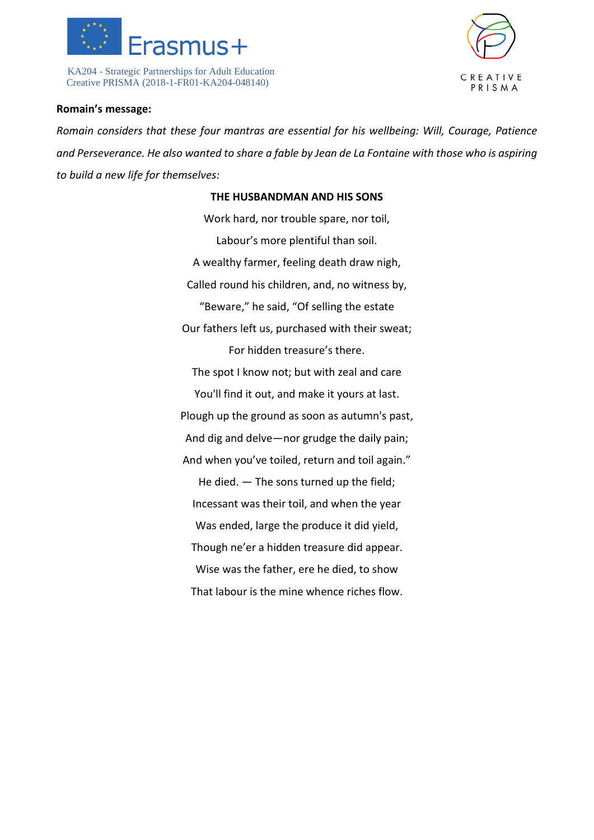



### **Romain's message:**

*Romain considers that these four mantras are essential for his wellbeing: Will, Courage, Patience and Perseverance. He also wanted to share a fable by Jean de La Fontaine with those who is aspiring to build a new life for themselves:*

### **THE HUSBANDMAN AND HIS SONS**

Work hard, nor trouble spare, nor toil, Labour's more plentiful than soil. A wealthy farmer, feeling death draw nigh, Called round his children, and, no witness by, "Beware," he said, "Of selling the estate Our fathers left us, purchased with their sweat; For hidden treasure's there. The spot I know not; but with zeal and care You'll find it out, and make it yours at last. Plough up the ground as soon as autumn's past, And dig and delve—nor grudge the daily pain; And when you've toiled, return and toil again." He died. — The sons turned up the field; Incessant was their toil, and when the year Was ended, large the produce it did yield, Though ne'er a hidden treasure did appear. Wise was the father, ere he died, to show That labour is the mine whence riches flow.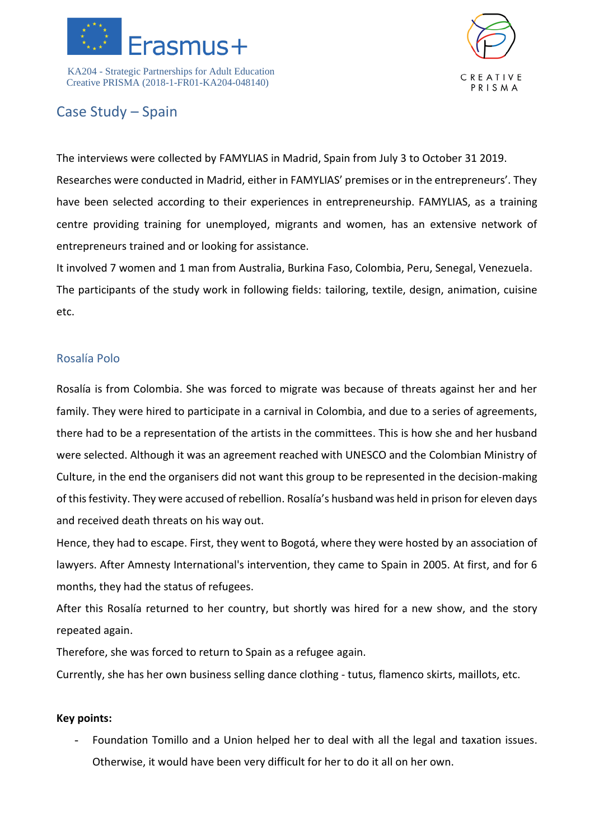



### <span id="page-16-0"></span>Case Study – Spain

The interviews were collected by FAMYLIAS in Madrid, Spain from July 3 to October 31 2019. Researches were conducted in Madrid, either in FAMYLIAS' premises or in the entrepreneurs'. They have been selected according to their experiences in entrepreneurship. FAMYLIAS, as a training centre providing training for unemployed, migrants and women, has an extensive network of entrepreneurs trained and or looking for assistance.

It involved 7 women and 1 man from Australia, Burkina Faso, Colombia, Peru, Senegal, Venezuela. The participants of the study work in following fields: tailoring, textile, design, animation, cuisine etc.

### <span id="page-16-1"></span>Rosalía Polo

Rosalía is from Colombia. She was forced to migrate was because of threats against her and her family. They were hired to participate in a carnival in Colombia, and due to a series of agreements, there had to be a representation of the artists in the committees. This is how she and her husband were selected. Although it was an agreement reached with UNESCO and the Colombian Ministry of Culture, in the end the organisers did not want this group to be represented in the decision-making of this festivity. They were accused of rebellion. Rosalía's husband was held in prison for eleven days and received death threats on his way out.

Hence, they had to escape. First, they went to Bogotá, where they were hosted by an association of lawyers. After Amnesty International's intervention, they came to Spain in 2005. At first, and for 6 months, they had the status of refugees.

After this Rosalía returned to her country, but shortly was hired for a new show, and the story repeated again.

Therefore, she was forced to return to Spain as a refugee again.

Currently, she has her own business selling dance clothing - tutus, flamenco skirts, maillots, etc.

### **Key points:**

- Foundation Tomillo and a Union helped her to deal with all the legal and taxation issues. Otherwise, it would have been very difficult for her to do it all on her own.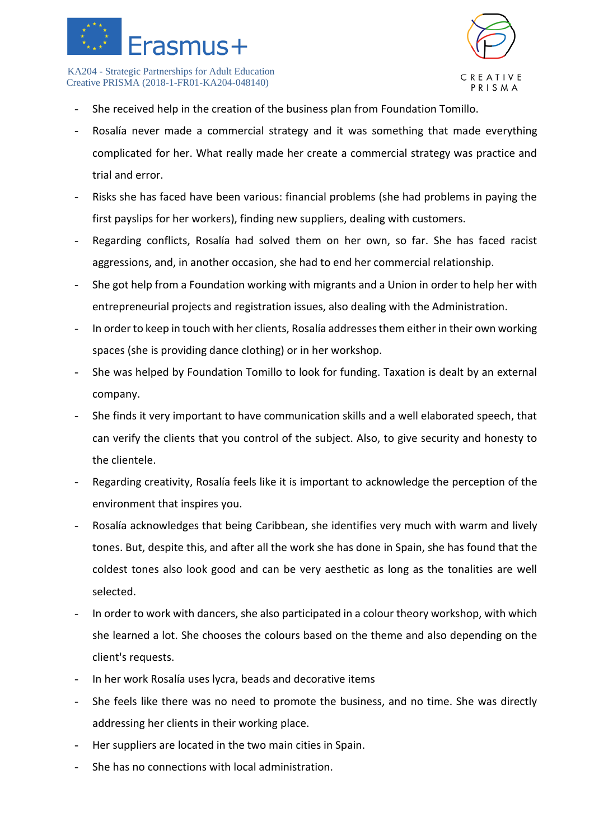



- She received help in the creation of the business plan from Foundation Tomillo.
- Rosalía never made a commercial strategy and it was something that made everything complicated for her. What really made her create a commercial strategy was practice and trial and error.
- Risks she has faced have been various: financial problems (she had problems in paying the first payslips for her workers), finding new suppliers, dealing with customers.
- Regarding conflicts, Rosalía had solved them on her own, so far. She has faced racist aggressions, and, in another occasion, she had to end her commercial relationship.
- She got help from a Foundation working with migrants and a Union in order to help her with entrepreneurial projects and registration issues, also dealing with the Administration.
- In order to keep in touch with her clients, Rosalía addresses them either in their own working spaces (she is providing dance clothing) or in her workshop.
- She was helped by Foundation Tomillo to look for funding. Taxation is dealt by an external company.
- She finds it very important to have communication skills and a well elaborated speech, that can verify the clients that you control of the subject. Also, to give security and honesty to the clientele.
- Regarding creativity, Rosalía feels like it is important to acknowledge the perception of the environment that inspires you.
- Rosalía acknowledges that being Caribbean, she identifies very much with warm and lively tones. But, despite this, and after all the work she has done in Spain, she has found that the coldest tones also look good and can be very aesthetic as long as the tonalities are well selected.
- In order to work with dancers, she also participated in a colour theory workshop, with which she learned a lot. She chooses the colours based on the theme and also depending on the client's requests.
- In her work Rosalía uses lycra, beads and decorative items
- She feels like there was no need to promote the business, and no time. She was directly addressing her clients in their working place.
- Her suppliers are located in the two main cities in Spain.
- She has no connections with local administration.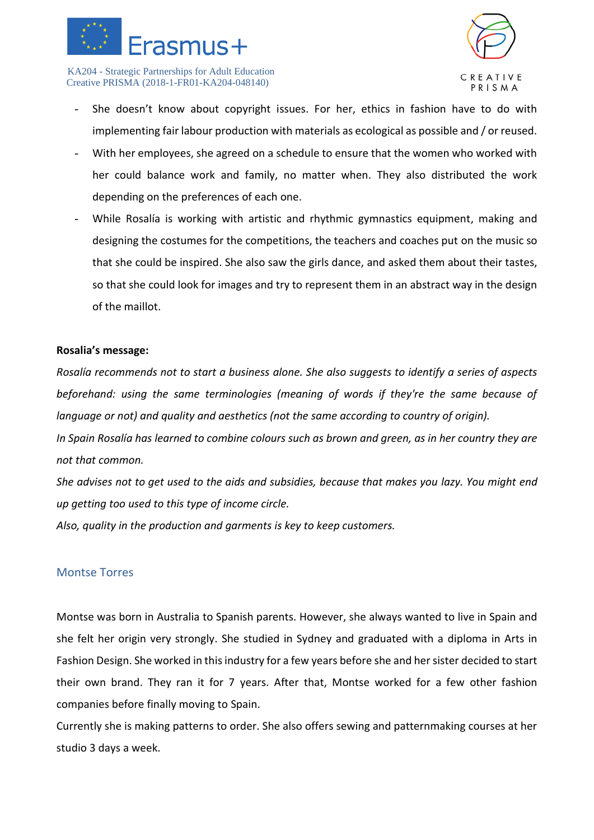



- She doesn't know about copyright issues. For her, ethics in fashion have to do with implementing fair labour production with materials as ecological as possible and / or reused.
- With her employees, she agreed on a schedule to ensure that the women who worked with her could balance work and family, no matter when. They also distributed the work depending on the preferences of each one.
- While Rosalía is working with artistic and rhythmic gymnastics equipment, making and designing the costumes for the competitions, the teachers and coaches put on the music so that she could be inspired. She also saw the girls dance, and asked them about their tastes, so that she could look for images and try to represent them in an abstract way in the design of the maillot.

### **Rosalia's message:**

*Rosalía recommends not to start a business alone. She also suggests to identify a series of aspects beforehand: using the same terminologies (meaning of words if they're the same because of language or not) and quality and aesthetics (not the same according to country of origin).* 

*In Spain Rosalía has learned to combine colours such as brown and green, as in her country they are not that common.*

*She advises not to get used to the aids and subsidies, because that makes you lazy. You might end up getting too used to this type of income circle.*

*Also, quality in the production and garments is key to keep customers.*

### <span id="page-18-0"></span>Montse Torres

Montse was born in Australia to Spanish parents. However, she always wanted to live in Spain and she felt her origin very strongly. She studied in Sydney and graduated with a diploma in Arts in Fashion Design. She worked in this industry for a few years before she and her sister decided to start their own brand. They ran it for 7 years. After that, Montse worked for a few other fashion companies before finally moving to Spain.

Currently she is making patterns to order. She also offers sewing and patternmaking courses at her studio 3 days a week.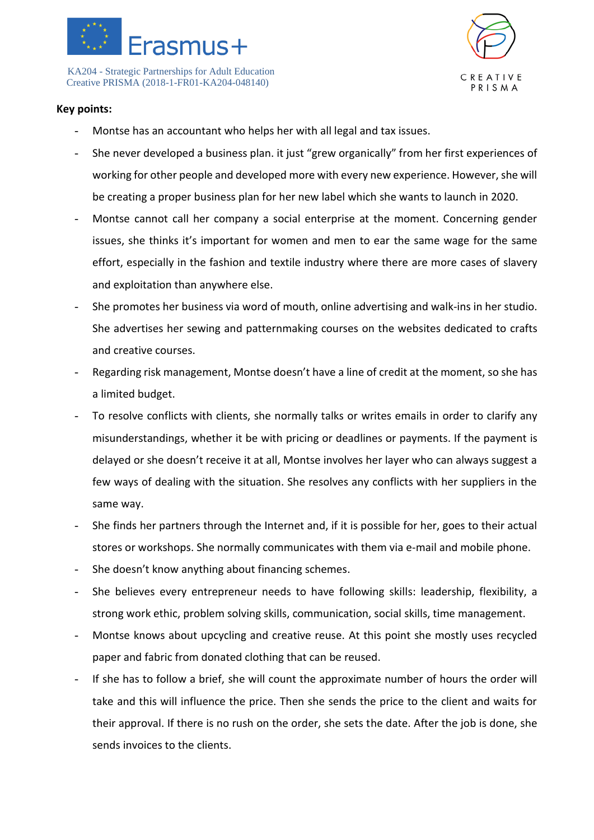



- Montse has an accountant who helps her with all legal and tax issues.
- She never developed a business plan. it just "grew organically" from her first experiences of working for other people and developed more with every new experience. However, she will be creating a proper business plan for her new label which she wants to launch in 2020.
- Montse cannot call her company a social enterprise at the moment. Concerning gender issues, she thinks it's important for women and men to ear the same wage for the same effort, especially in the fashion and textile industry where there are more cases of slavery and exploitation than anywhere else.
- She promotes her business via word of mouth, online advertising and walk-ins in her studio. She advertises her sewing and patternmaking courses on the websites dedicated to crafts and creative courses.
- Regarding risk management, Montse doesn't have a line of credit at the moment, so she has a limited budget.
- To resolve conflicts with clients, she normally talks or writes emails in order to clarify any misunderstandings, whether it be with pricing or deadlines or payments. If the payment is delayed or she doesn't receive it at all, Montse involves her layer who can always suggest a few ways of dealing with the situation. She resolves any conflicts with her suppliers in the same way.
- She finds her partners through the Internet and, if it is possible for her, goes to their actual stores or workshops. She normally communicates with them via e-mail and mobile phone.
- She doesn't know anything about financing schemes.
- She believes every entrepreneur needs to have following skills: leadership, flexibility, a strong work ethic, problem solving skills, communication, social skills, time management.
- Montse knows about upcycling and creative reuse. At this point she mostly uses recycled paper and fabric from donated clothing that can be reused.
- If she has to follow a brief, she will count the approximate number of hours the order will take and this will influence the price. Then she sends the price to the client and waits for their approval. If there is no rush on the order, she sets the date. After the job is done, she sends invoices to the clients.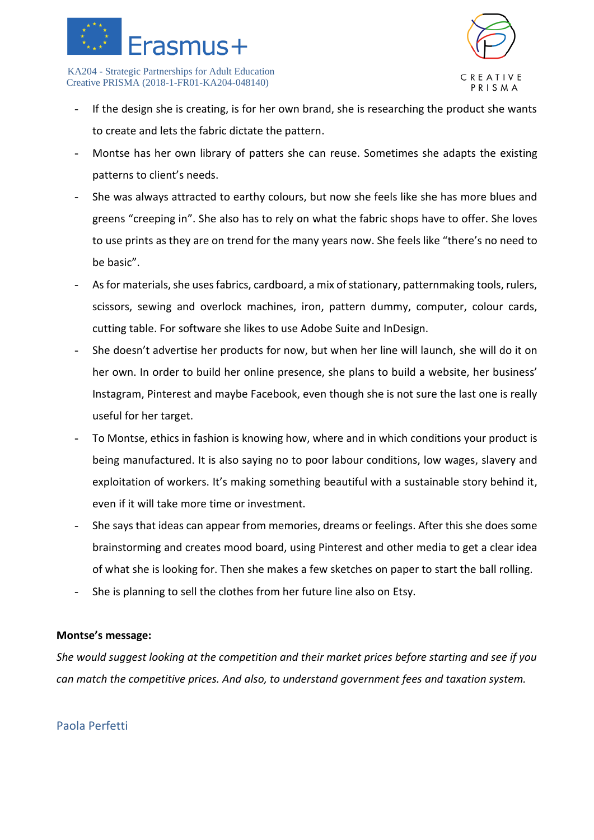



- If the design she is creating, is for her own brand, she is researching the product she wants to create and lets the fabric dictate the pattern.
- Montse has her own library of patters she can reuse. Sometimes she adapts the existing patterns to client's needs.
- She was always attracted to earthy colours, but now she feels like she has more blues and greens "creeping in". She also has to rely on what the fabric shops have to offer. She loves to use prints as they are on trend for the many years now. She feels like "there's no need to be basic".
- As for materials, she uses fabrics, cardboard, a mix of stationary, patternmaking tools, rulers, scissors, sewing and overlock machines, iron, pattern dummy, computer, colour cards, cutting table. For software she likes to use Adobe Suite and InDesign.
- She doesn't advertise her products for now, but when her line will launch, she will do it on her own. In order to build her online presence, she plans to build a website, her business' Instagram, Pinterest and maybe Facebook, even though she is not sure the last one is really useful for her target.
- To Montse, ethics in fashion is knowing how, where and in which conditions your product is being manufactured. It is also saying no to poor labour conditions, low wages, slavery and exploitation of workers. It's making something beautiful with a sustainable story behind it, even if it will take more time or investment.
- She says that ideas can appear from memories, dreams or feelings. After this she does some brainstorming and creates mood board, using Pinterest and other media to get a clear idea of what she is looking for. Then she makes a few sketches on paper to start the ball rolling.
- She is planning to sell the clothes from her future line also on Etsy.

### **Montse's message:**

*She would suggest looking at the competition and their market prices before starting and see if you can match the competitive prices. And also, to understand government fees and taxation system.* 

### <span id="page-20-0"></span>Paola Perfetti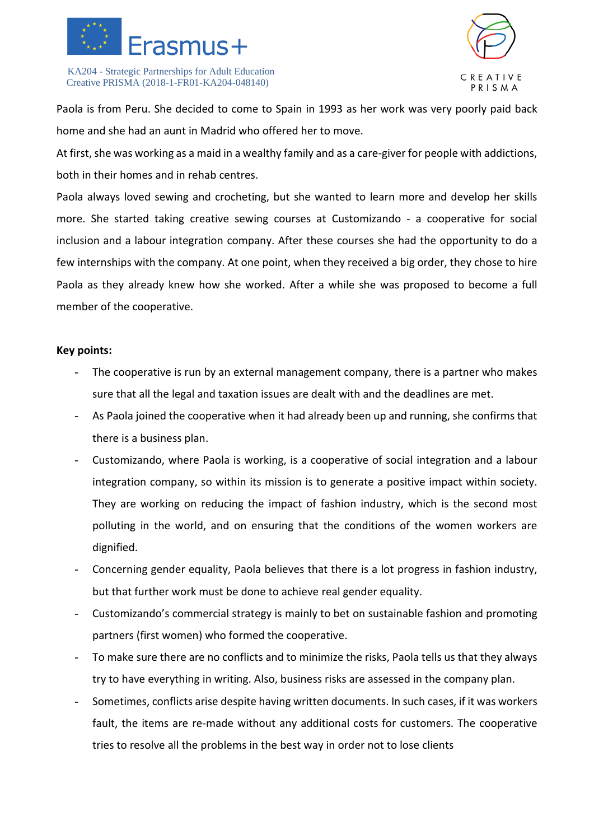



Paola is from Peru. She decided to come to Spain in 1993 as her work was very poorly paid back home and she had an aunt in Madrid who offered her to move.

At first, she was working as a maid in a wealthy family and as a care-giver for people with addictions, both in their homes and in rehab centres.

Paola always loved sewing and crocheting, but she wanted to learn more and develop her skills more. She started taking creative sewing courses at Customizando - a cooperative for social inclusion and a labour integration company. After these courses she had the opportunity to do a few internships with the company. At one point, when they received a big order, they chose to hire Paola as they already knew how she worked. After a while she was proposed to become a full member of the cooperative.

- The cooperative is run by an external management company, there is a partner who makes sure that all the legal and taxation issues are dealt with and the deadlines are met.
- As Paola joined the cooperative when it had already been up and running, she confirms that there is a business plan.
- Customizando, where Paola is working, is a cooperative of social integration and a labour integration company, so within its mission is to generate a positive impact within society. They are working on reducing the impact of fashion industry, which is the second most polluting in the world, and on ensuring that the conditions of the women workers are dignified.
- Concerning gender equality, Paola believes that there is a lot progress in fashion industry, but that further work must be done to achieve real gender equality.
- Customizando's commercial strategy is mainly to bet on sustainable fashion and promoting partners (first women) who formed the cooperative.
- To make sure there are no conflicts and to minimize the risks, Paola tells us that they always try to have everything in writing. Also, business risks are assessed in the company plan.
- Sometimes, conflicts arise despite having written documents. In such cases, if it was workers fault, the items are re-made without any additional costs for customers. The cooperative tries to resolve all the problems in the best way in order not to lose clients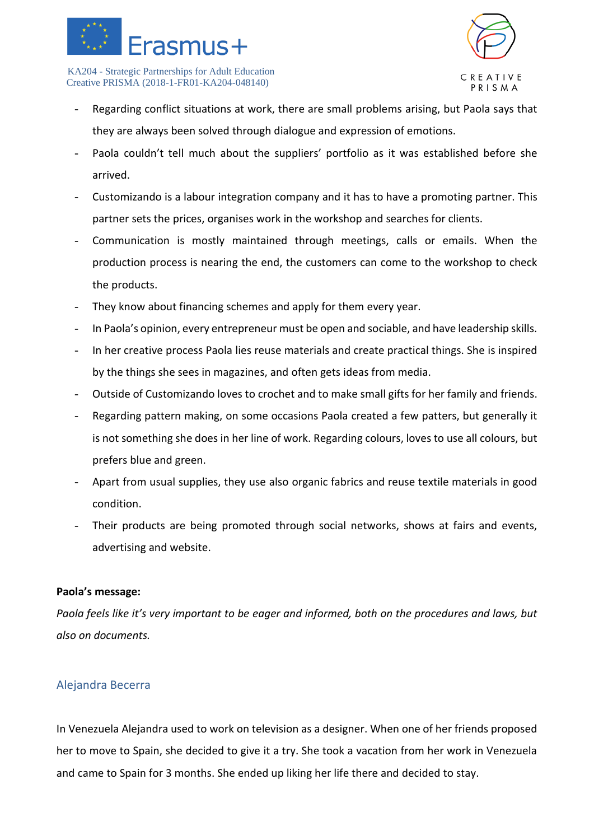



- Regarding conflict situations at work, there are small problems arising, but Paola says that they are always been solved through dialogue and expression of emotions.
- Paola couldn't tell much about the suppliers' portfolio as it was established before she arrived.
- Customizando is a labour integration company and it has to have a promoting partner. This partner sets the prices, organises work in the workshop and searches for clients.
- Communication is mostly maintained through meetings, calls or emails. When the production process is nearing the end, the customers can come to the workshop to check the products.
- They know about financing schemes and apply for them every year.
- In Paola's opinion, every entrepreneur must be open and sociable, and have leadership skills.
- In her creative process Paola lies reuse materials and create practical things. She is inspired by the things she sees in magazines, and often gets ideas from media.
- Outside of Customizando loves to crochet and to make small gifts for her family and friends.
- Regarding pattern making, on some occasions Paola created a few patters, but generally it is not something she does in her line of work. Regarding colours, loves to use all colours, but prefers blue and green.
- Apart from usual supplies, they use also organic fabrics and reuse textile materials in good condition.
- Their products are being promoted through social networks, shows at fairs and events, advertising and website.

### **Paola's message:**

*Paola feels like it's very important to be eager and informed, both on the procedures and laws, but also on documents.*

### <span id="page-22-0"></span>Alejandra Becerra

In Venezuela Alejandra used to work on television as a designer. When one of her friends proposed her to move to Spain, she decided to give it a try. She took a vacation from her work in Venezuela and came to Spain for 3 months. She ended up liking her life there and decided to stay.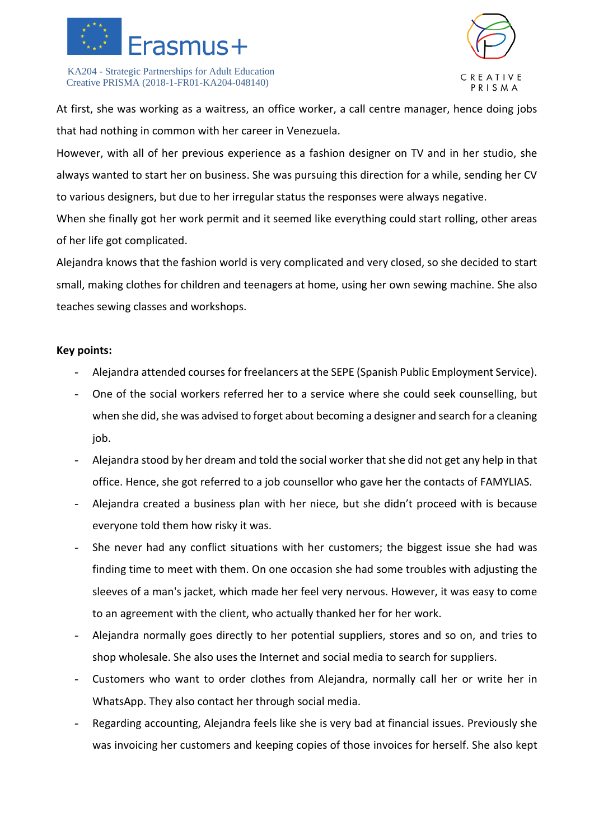



At first, she was working as a waitress, an office worker, a call centre manager, hence doing jobs that had nothing in common with her career in Venezuela.

However, with all of her previous experience as a fashion designer on TV and in her studio, she always wanted to start her on business. She was pursuing this direction for a while, sending her CV to various designers, but due to her irregular status the responses were always negative.

When she finally got her work permit and it seemed like everything could start rolling, other areas of her life got complicated.

Alejandra knows that the fashion world is very complicated and very closed, so she decided to start small, making clothes for children and teenagers at home, using her own sewing machine. She also teaches sewing classes and workshops.

- Alejandra attended courses for freelancers at the SEPE (Spanish Public Employment Service).
- One of the social workers referred her to a service where she could seek counselling, but when she did, she was advised to forget about becoming a designer and search for a cleaning job.
- Alejandra stood by her dream and told the social worker that she did not get any help in that office. Hence, she got referred to a job counsellor who gave her the contacts of FAMYLIAS.
- Alejandra created a business plan with her niece, but she didn't proceed with is because everyone told them how risky it was.
- She never had any conflict situations with her customers; the biggest issue she had was finding time to meet with them. On one occasion she had some troubles with adjusting the sleeves of a man's jacket, which made her feel very nervous. However, it was easy to come to an agreement with the client, who actually thanked her for her work.
- Alejandra normally goes directly to her potential suppliers, stores and so on, and tries to shop wholesale. She also uses the Internet and social media to search for suppliers.
- Customers who want to order clothes from Alejandra, normally call her or write her in WhatsApp. They also contact her through social media.
- Regarding accounting, Alejandra feels like she is very bad at financial issues. Previously she was invoicing her customers and keeping copies of those invoices for herself. She also kept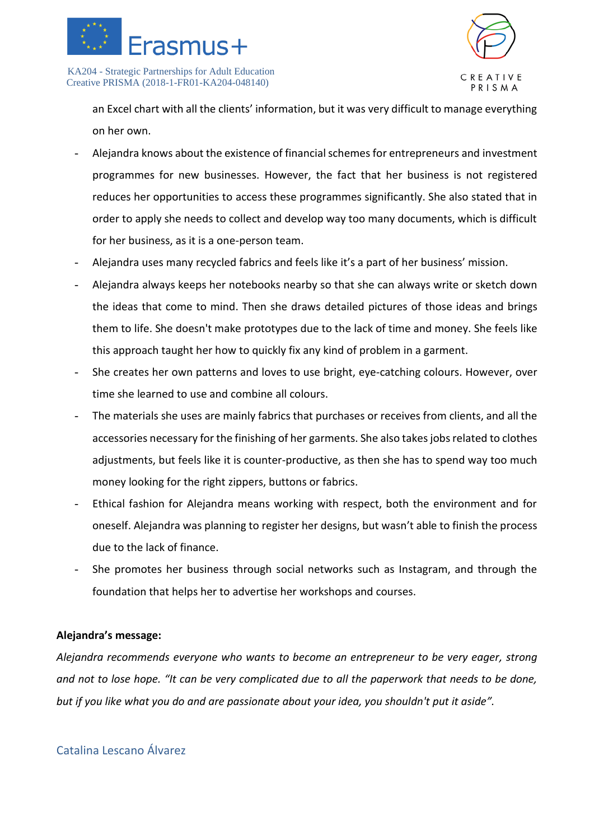



an Excel chart with all the clients' information, but it was very difficult to manage everything on her own.

- Alejandra knows about the existence of financial schemes for entrepreneurs and investment programmes for new businesses. However, the fact that her business is not registered reduces her opportunities to access these programmes significantly. She also stated that in order to apply she needs to collect and develop way too many documents, which is difficult for her business, as it is a one-person team.
- Alejandra uses many recycled fabrics and feels like it's a part of her business' mission.
- Alejandra always keeps her notebooks nearby so that she can always write or sketch down the ideas that come to mind. Then she draws detailed pictures of those ideas and brings them to life. She doesn't make prototypes due to the lack of time and money. She feels like this approach taught her how to quickly fix any kind of problem in a garment.
- She creates her own patterns and loves to use bright, eye-catching colours. However, over time she learned to use and combine all colours.
- The materials she uses are mainly fabrics that purchases or receives from clients, and all the accessories necessary for the finishing of her garments. She also takes jobs related to clothes adjustments, but feels like it is counter-productive, as then she has to spend way too much money looking for the right zippers, buttons or fabrics.
- Ethical fashion for Alejandra means working with respect, both the environment and for oneself. Alejandra was planning to register her designs, but wasn't able to finish the process due to the lack of finance.
- She promotes her business through social networks such as Instagram, and through the foundation that helps her to advertise her workshops and courses.

### **Alejandra's message:**

*Alejandra recommends everyone who wants to become an entrepreneur to be very eager, strong and not to lose hope. "It can be very complicated due to all the paperwork that needs to be done, but if you like what you do and are passionate about your idea, you shouldn't put it aside".*

### <span id="page-24-0"></span>Catalina Lescano Álvarez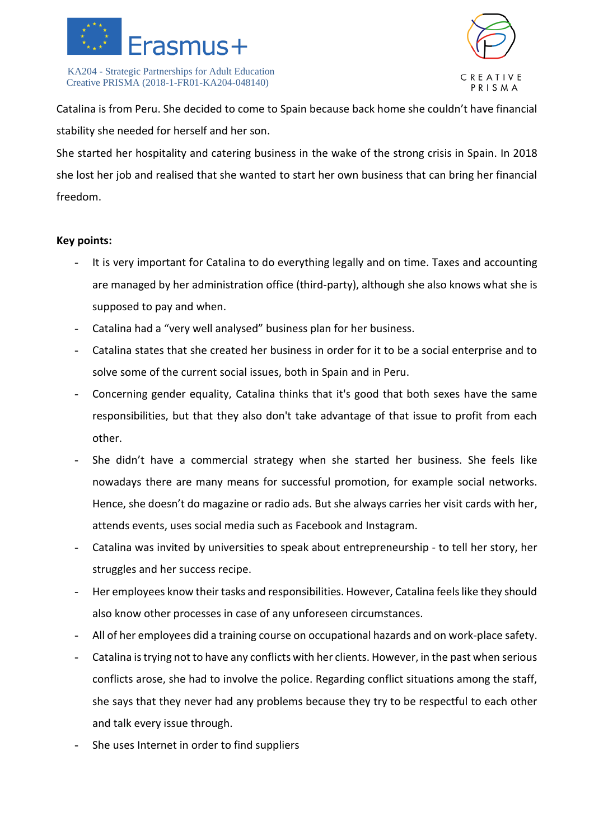



Catalina is from Peru. She decided to come to Spain because back home she couldn't have financial stability she needed for herself and her son.

She started her hospitality and catering business in the wake of the strong crisis in Spain. In 2018 she lost her job and realised that she wanted to start her own business that can bring her financial freedom.

- It is very important for Catalina to do everything legally and on time. Taxes and accounting are managed by her administration office (third-party), although she also knows what she is supposed to pay and when.
- Catalina had a "very well analysed" business plan for her business.
- Catalina states that she created her business in order for it to be a social enterprise and to solve some of the current social issues, both in Spain and in Peru.
- Concerning gender equality, Catalina thinks that it's good that both sexes have the same responsibilities, but that they also don't take advantage of that issue to profit from each other.
- She didn't have a commercial strategy when she started her business. She feels like nowadays there are many means for successful promotion, for example social networks. Hence, she doesn't do magazine or radio ads. But she always carries her visit cards with her, attends events, uses social media such as Facebook and Instagram.
- Catalina was invited by universities to speak about entrepreneurship to tell her story, her struggles and her success recipe.
- Her employees know their tasks and responsibilities. However, Catalina feels like they should also know other processes in case of any unforeseen circumstances.
- All of her employees did a training course on occupational hazards and on work-place safety.
- Catalina is trying not to have any conflicts with her clients. However, in the past when serious conflicts arose, she had to involve the police. Regarding conflict situations among the staff, she says that they never had any problems because they try to be respectful to each other and talk every issue through.
- She uses Internet in order to find suppliers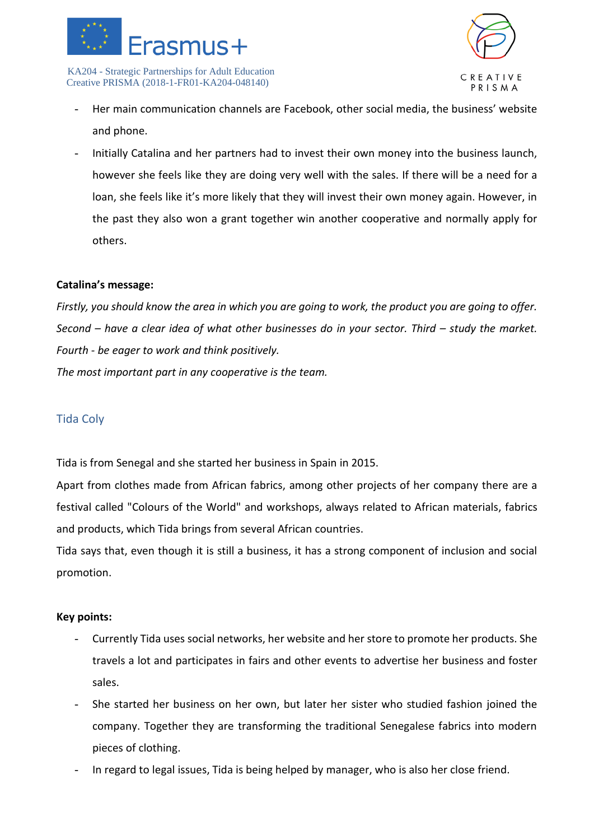



- Her main communication channels are Facebook, other social media, the business' website and phone.
- Initially Catalina and her partners had to invest their own money into the business launch, however she feels like they are doing very well with the sales. If there will be a need for a loan, she feels like it's more likely that they will invest their own money again. However, in the past they also won a grant together win another cooperative and normally apply for others.

### **Catalina's message:**

*Firstly, you should know the area in which you are going to work, the product you are going to offer. Second – have a clear idea of what other businesses do in your sector. Third – study the market. Fourth - be eager to work and think positively. The most important part in any cooperative is the team.* 

### <span id="page-26-0"></span>Tida Coly

Tida is from Senegal and she started her business in Spain in 2015.

Apart from clothes made from African fabrics, among other projects of her company there are a festival called "Colours of the World" and workshops, always related to African materials, fabrics and products, which Tida brings from several African countries.

Tida says that, even though it is still a business, it has a strong component of inclusion and social promotion.

- Currently Tida uses social networks, her website and her store to promote her products. She travels a lot and participates in fairs and other events to advertise her business and foster sales.
- She started her business on her own, but later her sister who studied fashion joined the company. Together they are transforming the traditional Senegalese fabrics into modern pieces of clothing.
- In regard to legal issues, Tida is being helped by manager, who is also her close friend.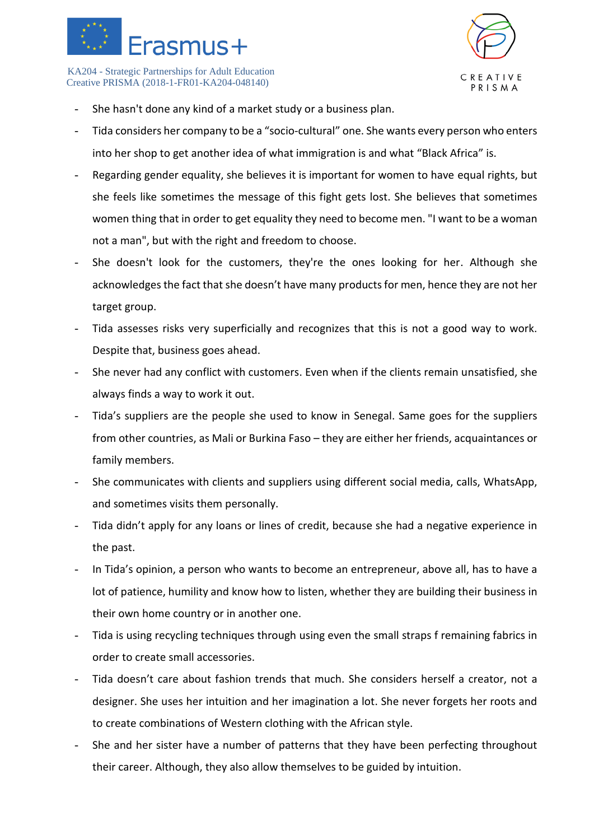



- She hasn't done any kind of a market study or a business plan.
- Tida considers her company to be a "socio-cultural" one. She wants every person who enters into her shop to get another idea of what immigration is and what "Black Africa" is.
- Regarding gender equality, she believes it is important for women to have equal rights, but she feels like sometimes the message of this fight gets lost. She believes that sometimes women thing that in order to get equality they need to become men. "I want to be a woman not a man", but with the right and freedom to choose.
- She doesn't look for the customers, they're the ones looking for her. Although she acknowledges the fact that she doesn't have many products for men, hence they are not her target group.
- Tida assesses risks very superficially and recognizes that this is not a good way to work. Despite that, business goes ahead.
- She never had any conflict with customers. Even when if the clients remain unsatisfied, she always finds a way to work it out.
- Tida's suppliers are the people she used to know in Senegal. Same goes for the suppliers from other countries, as Mali or Burkina Faso – they are either her friends, acquaintances or family members.
- She communicates with clients and suppliers using different social media, calls, WhatsApp, and sometimes visits them personally.
- Tida didn't apply for any loans or lines of credit, because she had a negative experience in the past.
- In Tida's opinion, a person who wants to become an entrepreneur, above all, has to have a lot of patience, humility and know how to listen, whether they are building their business in their own home country or in another one.
- Tida is using recycling techniques through using even the small straps f remaining fabrics in order to create small accessories.
- Tida doesn't care about fashion trends that much. She considers herself a creator, not a designer. She uses her intuition and her imagination a lot. She never forgets her roots and to create combinations of Western clothing with the African style.
- She and her sister have a number of patterns that they have been perfecting throughout their career. Although, they also allow themselves to be guided by intuition.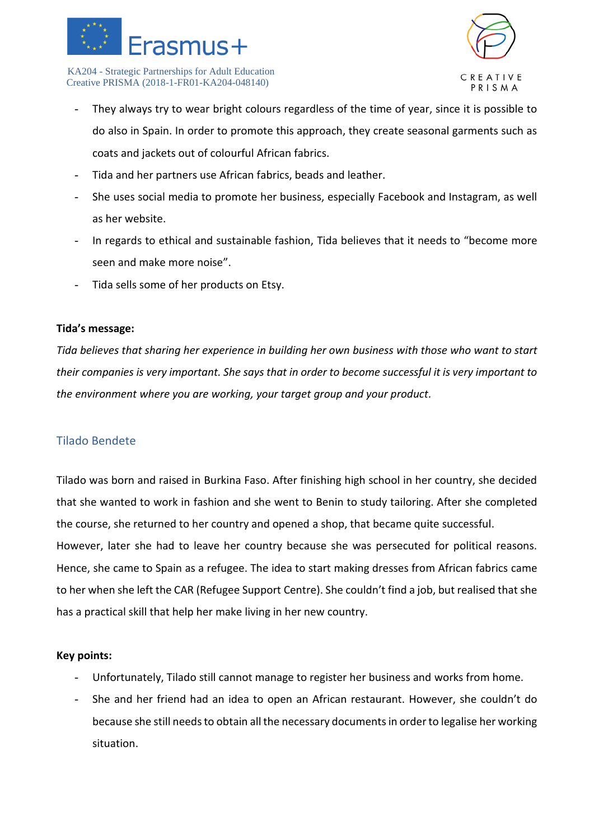



- They always try to wear bright colours regardless of the time of year, since it is possible to do also in Spain. In order to promote this approach, they create seasonal garments such as coats and jackets out of colourful African fabrics.
- Tida and her partners use African fabrics, beads and leather.
- She uses social media to promote her business, especially Facebook and Instagram, as well as her website.
- In regards to ethical and sustainable fashion, Tida believes that it needs to "become more seen and make more noise".
- Tida sells some of her products on Etsy.

### **Tida's message:**

*Tida believes that sharing her experience in building her own business with those who want to start their companies is very important. She says that in order to become successful it is very important to the environment where you are working, your target group and your product.*

### <span id="page-28-0"></span>Tilado Bendete

Tilado was born and raised in Burkina Faso. After finishing high school in her country, she decided that she wanted to work in fashion and she went to Benin to study tailoring. After she completed the course, she returned to her country and opened a shop, that became quite successful. However, later she had to leave her country because she was persecuted for political reasons. Hence, she came to Spain as a refugee. The idea to start making dresses from African fabrics came to her when she left the CAR (Refugee Support Centre). She couldn't find a job, but realised that she has a practical skill that help her make living in her new country.

- Unfortunately, Tilado still cannot manage to register her business and works from home.
- She and her friend had an idea to open an African restaurant. However, she couldn't do because she still needs to obtain all the necessary documents in order to legalise her working situation.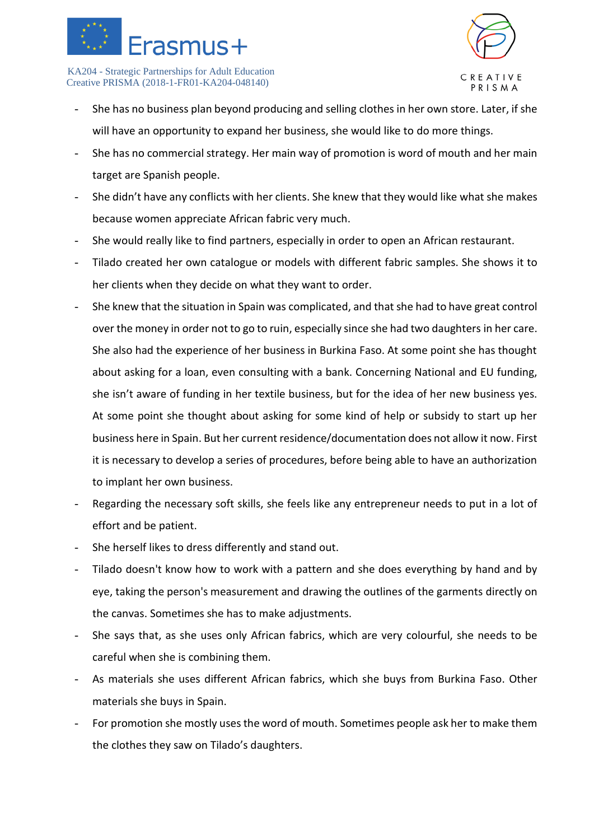



- She has no business plan beyond producing and selling clothes in her own store. Later, if she will have an opportunity to expand her business, she would like to do more things.
- She has no commercial strategy. Her main way of promotion is word of mouth and her main target are Spanish people.
- She didn't have any conflicts with her clients. She knew that they would like what she makes because women appreciate African fabric very much.
- She would really like to find partners, especially in order to open an African restaurant.
- Tilado created her own catalogue or models with different fabric samples. She shows it to her clients when they decide on what they want to order.
- She knew that the situation in Spain was complicated, and that she had to have great control over the money in order not to go to ruin, especially since she had two daughters in her care. She also had the experience of her business in Burkina Faso. At some point she has thought about asking for a loan, even consulting with a bank. Concerning National and EU funding, she isn't aware of funding in her textile business, but for the idea of her new business yes. At some point she thought about asking for some kind of help or subsidy to start up her business here in Spain. But her current residence/documentation does not allow it now. First it is necessary to develop a series of procedures, before being able to have an authorization to implant her own business.
- Regarding the necessary soft skills, she feels like any entrepreneur needs to put in a lot of effort and be patient.
- She herself likes to dress differently and stand out.
- Tilado doesn't know how to work with a pattern and she does everything by hand and by eye, taking the person's measurement and drawing the outlines of the garments directly on the canvas. Sometimes she has to make adjustments.
- She says that, as she uses only African fabrics, which are very colourful, she needs to be careful when she is combining them.
- As materials she uses different African fabrics, which she buys from Burkina Faso. Other materials she buys in Spain.
- For promotion she mostly uses the word of mouth. Sometimes people ask her to make them the clothes they saw on Tilado's daughters.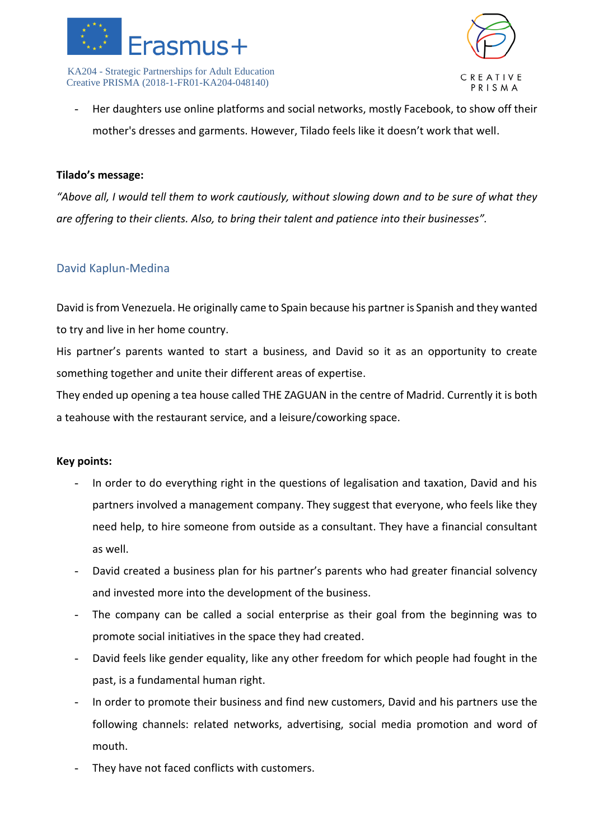



- Her daughters use online platforms and social networks, mostly Facebook, to show off their mother's dresses and garments. However, Tilado feels like it doesn't work that well.

### **Tilado's message:**

*"Above all, I would tell them to work cautiously, without slowing down and to be sure of what they are offering to their clients. Also, to bring their talent and patience into their businesses".*

### <span id="page-30-0"></span>David Kaplun-Medina

David is from Venezuela. He originally came to Spain because his partner is Spanish and they wanted to try and live in her home country.

His partner's parents wanted to start a business, and David so it as an opportunity to create something together and unite their different areas of expertise.

They ended up opening a tea house called THE ZAGUAN in the centre of Madrid. Currently it is both a teahouse with the restaurant service, and a leisure/coworking space.

- In order to do everything right in the questions of legalisation and taxation, David and his partners involved a management company. They suggest that everyone, who feels like they need help, to hire someone from outside as a consultant. They have a financial consultant as well.
- David created a business plan for his partner's parents who had greater financial solvency and invested more into the development of the business.
- The company can be called a social enterprise as their goal from the beginning was to promote social initiatives in the space they had created.
- David feels like gender equality, like any other freedom for which people had fought in the past, is a fundamental human right.
- In order to promote their business and find new customers, David and his partners use the following channels: related networks, advertising, social media promotion and word of mouth.
- They have not faced conflicts with customers.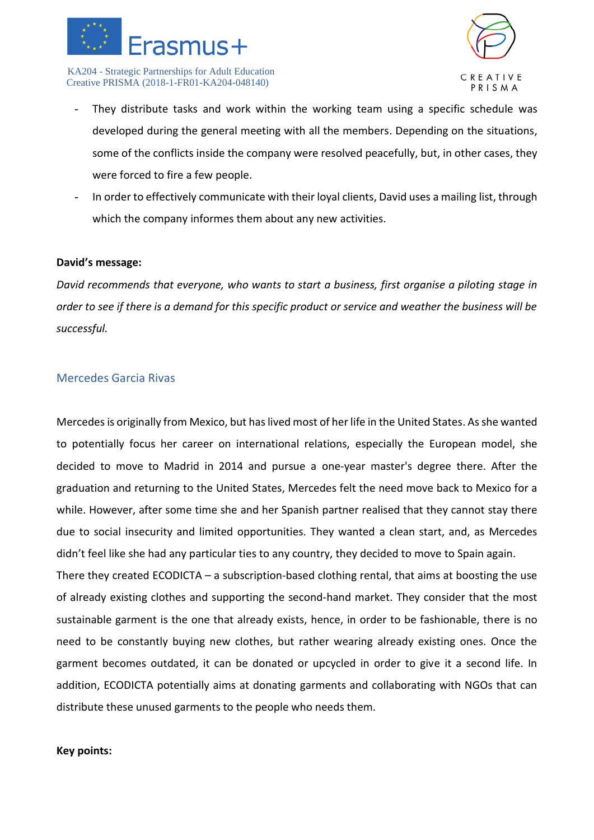



- They distribute tasks and work within the working team using a specific schedule was developed during the general meeting with all the members. Depending on the situations, some of the conflicts inside the company were resolved peacefully, but, in other cases, they were forced to fire a few people.
- In order to effectively communicate with their loyal clients, David uses a mailing list, through which the company informes them about any new activities.

### **David's message:**

*David recommends that everyone, who wants to start a business, first organise a piloting stage in order to see if there is a demand for this specific product or service and weather the business will be successful.* 

### <span id="page-31-0"></span>Mercedes Garcia Rivas

Mercedes is originally from Mexico, but has lived most of her life in the United States. As she wanted to potentially focus her career on international relations, especially the European model, she decided to move to Madrid in 2014 and pursue a one-year master's degree there. After the graduation and returning to the United States, Mercedes felt the need move back to Mexico for a while. However, after some time she and her Spanish partner realised that they cannot stay there due to social insecurity and limited opportunities. They wanted a clean start, and, as Mercedes didn't feel like she had any particular ties to any country, they decided to move to Spain again. There they created ECODICTA – a subscription-based clothing rental, that aims at boosting the use

of already existing clothes and supporting the second-hand market. They consider that the most sustainable garment is the one that already exists, hence, in order to be fashionable, there is no need to be constantly buying new clothes, but rather wearing already existing ones. Once the garment becomes outdated, it can be donated or upcycled in order to give it a second life. In addition, ECODICTA potentially aims at donating garments and collaborating with NGOs that can distribute these unused garments to the people who needs them.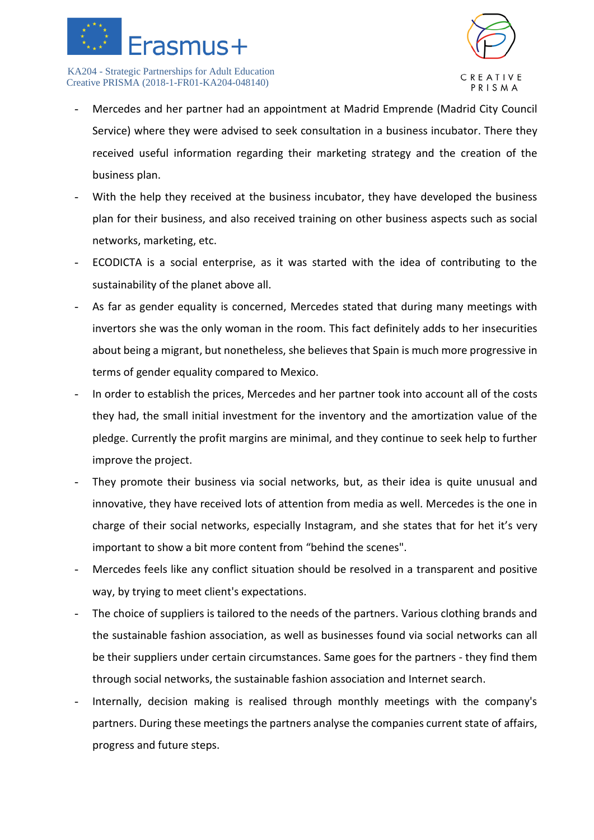



- Mercedes and her partner had an appointment at Madrid Emprende (Madrid City Council Service) where they were advised to seek consultation in a business incubator. There they received useful information regarding their marketing strategy and the creation of the business plan.
- With the help they received at the business incubator, they have developed the business plan for their business, and also received training on other business aspects such as social networks, marketing, etc.
- ECODICTA is a social enterprise, as it was started with the idea of contributing to the sustainability of the planet above all.
- As far as gender equality is concerned, Mercedes stated that during many meetings with invertors she was the only woman in the room. This fact definitely adds to her insecurities about being a migrant, but nonetheless, she believes that Spain is much more progressive in terms of gender equality compared to Mexico.
- In order to establish the prices, Mercedes and her partner took into account all of the costs they had, the small initial investment for the inventory and the amortization value of the pledge. Currently the profit margins are minimal, and they continue to seek help to further improve the project.
- They promote their business via social networks, but, as their idea is quite unusual and innovative, they have received lots of attention from media as well. Mercedes is the one in charge of their social networks, especially Instagram, and she states that for het it's very important to show a bit more content from "behind the scenes".
- Mercedes feels like any conflict situation should be resolved in a transparent and positive way, by trying to meet client's expectations.
- The choice of suppliers is tailored to the needs of the partners. Various clothing brands and the sustainable fashion association, as well as businesses found via social networks can all be their suppliers under certain circumstances. Same goes for the partners - they find them through social networks, the sustainable fashion association and Internet search.
- Internally, decision making is realised through monthly meetings with the company's partners. During these meetings the partners analyse the companies current state of affairs, progress and future steps.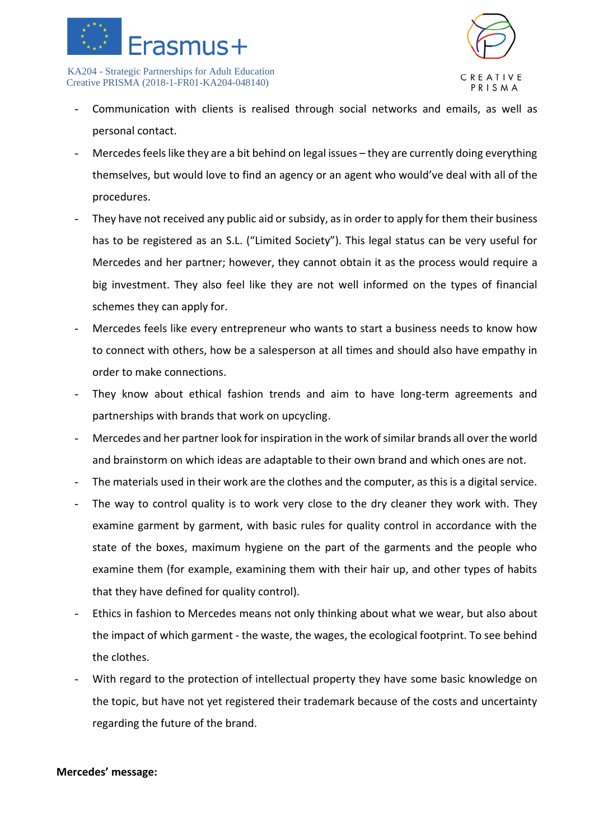



- Communication with clients is realised through social networks and emails, as well as personal contact.
- Mercedes feels like they are a bit behind on legal issues they are currently doing everything themselves, but would love to find an agency or an agent who would've deal with all of the procedures.
- They have not received any public aid or subsidy, as in order to apply for them their business has to be registered as an S.L. ("Limited Society"). This legal status can be very useful for Mercedes and her partner; however, they cannot obtain it as the process would require a big investment. They also feel like they are not well informed on the types of financial schemes they can apply for.
- Mercedes feels like every entrepreneur who wants to start a business needs to know how to connect with others, how be a salesperson at all times and should also have empathy in order to make connections.
- They know about ethical fashion trends and aim to have long-term agreements and partnerships with brands that work on upcycling.
- Mercedes and her partner look for inspiration in the work of similar brands all over the world and brainstorm on which ideas are adaptable to their own brand and which ones are not.
- The materials used in their work are the clothes and the computer, as this is a digital service.
- The way to control quality is to work very close to the dry cleaner they work with. They examine garment by garment, with basic rules for quality control in accordance with the state of the boxes, maximum hygiene on the part of the garments and the people who examine them (for example, examining them with their hair up, and other types of habits that they have defined for quality control).
- Ethics in fashion to Mercedes means not only thinking about what we wear, but also about the impact of which garment - the waste, the wages, the ecological footprint. To see behind the clothes.
- With regard to the protection of intellectual property they have some basic knowledge on the topic, but have not yet registered their trademark because of the costs and uncertainty regarding the future of the brand.

### **Mercedes' message:**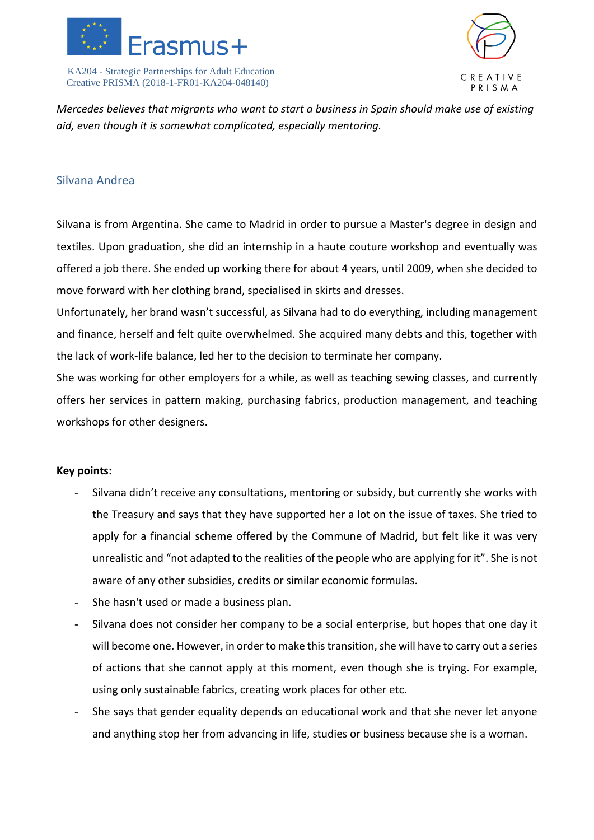



*Mercedes believes that migrants who want to start a business in Spain should make use of existing aid, even though it is somewhat complicated, especially mentoring.*

### <span id="page-34-0"></span>Silvana Andrea

Silvana is from Argentina. She came to Madrid in order to pursue a Master's degree in design and textiles. Upon graduation, she did an internship in a haute couture workshop and eventually was offered a job there. She ended up working there for about 4 years, until 2009, when she decided to move forward with her clothing brand, specialised in skirts and dresses.

Unfortunately, her brand wasn't successful, as Silvana had to do everything, including management and finance, herself and felt quite overwhelmed. She acquired many debts and this, together with the lack of work-life balance, led her to the decision to terminate her company.

She was working for other employers for a while, as well as teaching sewing classes, and currently offers her services in pattern making, purchasing fabrics, production management, and teaching workshops for other designers.

- Silvana didn't receive any consultations, mentoring or subsidy, but currently she works with the Treasury and says that they have supported her a lot on the issue of taxes. She tried to apply for a financial scheme offered by the Commune of Madrid, but felt like it was very unrealistic and "not adapted to the realities of the people who are applying for it". She is not aware of any other subsidies, credits or similar economic formulas.
- She hasn't used or made a business plan.
- Silvana does not consider her company to be a social enterprise, but hopes that one day it will become one. However, in order to make this transition, she will have to carry out a series of actions that she cannot apply at this moment, even though she is trying. For example, using only sustainable fabrics, creating work places for other etc.
- She says that gender equality depends on educational work and that she never let anyone and anything stop her from advancing in life, studies or business because she is a woman.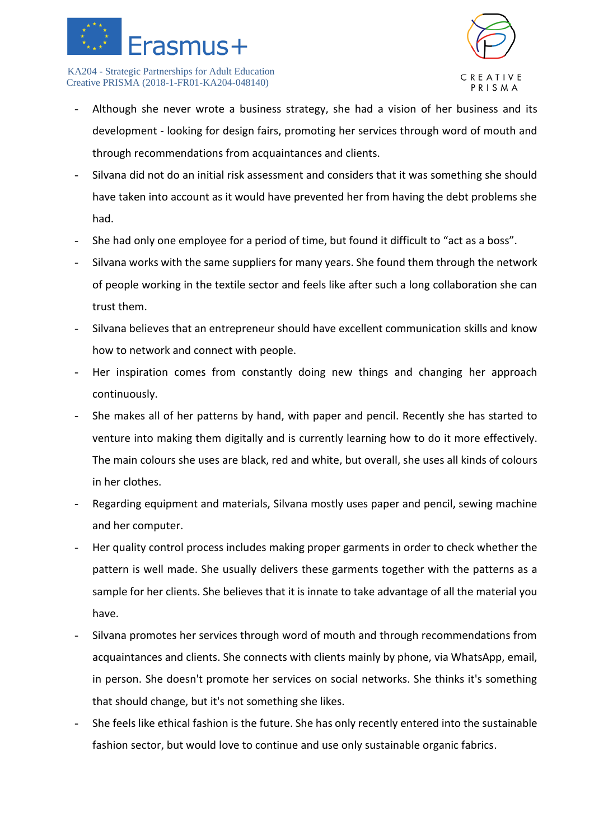



- Although she never wrote a business strategy, she had a vision of her business and its development - looking for design fairs, promoting her services through word of mouth and through recommendations from acquaintances and clients.
- Silvana did not do an initial risk assessment and considers that it was something she should have taken into account as it would have prevented her from having the debt problems she had.
- She had only one employee for a period of time, but found it difficult to "act as a boss".
- Silvana works with the same suppliers for many years. She found them through the network of people working in the textile sector and feels like after such a long collaboration she can trust them.
- Silvana believes that an entrepreneur should have excellent communication skills and know how to network and connect with people.
- Her inspiration comes from constantly doing new things and changing her approach continuously.
- She makes all of her patterns by hand, with paper and pencil. Recently she has started to venture into making them digitally and is currently learning how to do it more effectively. The main colours she uses are black, red and white, but overall, she uses all kinds of colours in her clothes.
- Regarding equipment and materials, Silvana mostly uses paper and pencil, sewing machine and her computer.
- Her quality control process includes making proper garments in order to check whether the pattern is well made. She usually delivers these garments together with the patterns as a sample for her clients. She believes that it is innate to take advantage of all the material you have.
- Silvana promotes her services through word of mouth and through recommendations from acquaintances and clients. She connects with clients mainly by phone, via WhatsApp, email, in person. She doesn't promote her services on social networks. She thinks it's something that should change, but it's not something she likes.
- She feels like ethical fashion is the future. She has only recently entered into the sustainable fashion sector, but would love to continue and use only sustainable organic fabrics.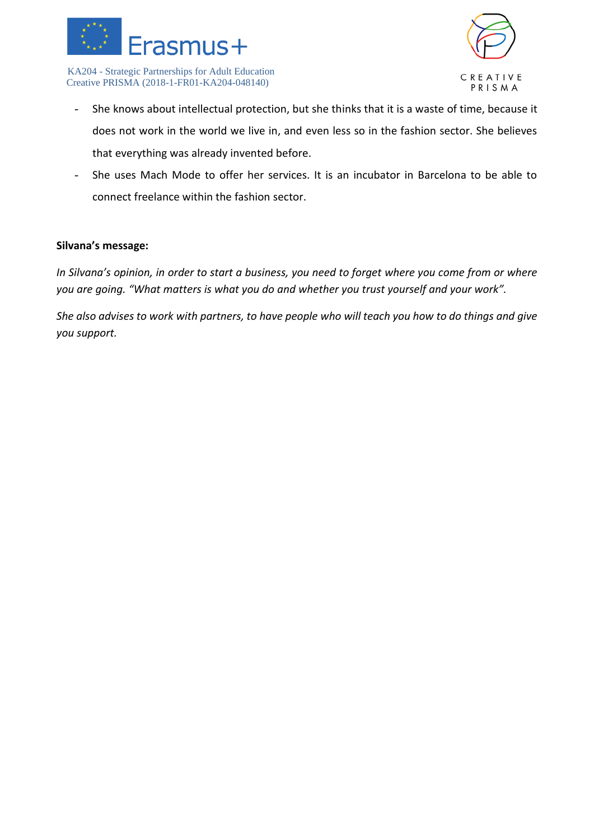



- She knows about intellectual protection, but she thinks that it is a waste of time, because it does not work in the world we live in, and even less so in the fashion sector. She believes that everything was already invented before.
- She uses Mach Mode to offer her services. It is an incubator in Barcelona to be able to connect freelance within the fashion sector.

#### **Silvana's message:**

*In Silvana's opinion, in order to start a business, you need to forget where you come from or where you are going. "What matters is what you do and whether you trust yourself and your work".* 

*She also advises to work with partners, to have people who will teach you how to do things and give you support.*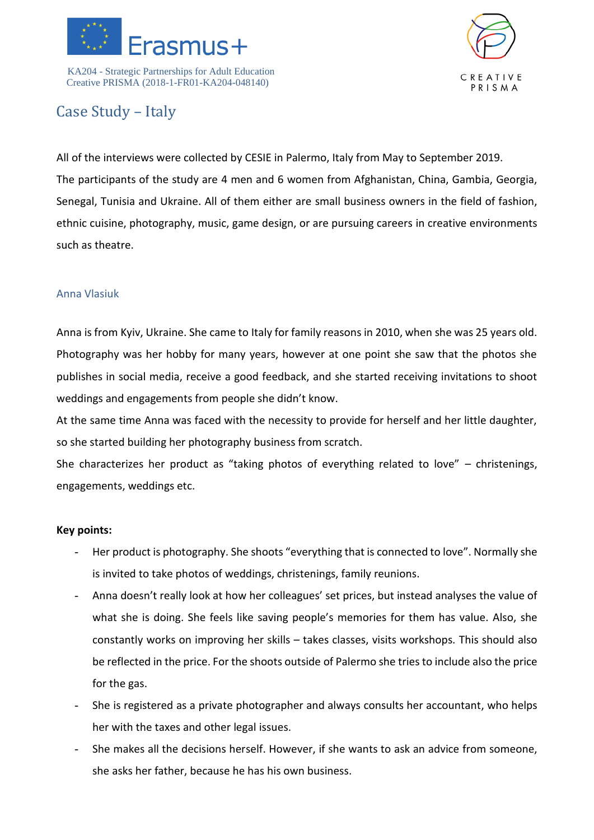



# Case Study – Italy

All of the interviews were collected by CESIE in Palermo, Italy from May to September 2019. The participants of the study are 4 men and 6 women from Afghanistan, China, Gambia, Georgia, Senegal, Tunisia and Ukraine. All of them either are small business owners in the field of fashion, ethnic cuisine, photography, music, game design, or are pursuing careers in creative environments such as theatre.

## Anna Vlasiuk

Anna is from Kyiv, Ukraine. She came to Italy for family reasons in 2010, when she was 25 years old. Photography was her hobby for many years, however at one point she saw that the photos she publishes in social media, receive a good feedback, and she started receiving invitations to shoot weddings and engagements from people she didn't know.

At the same time Anna was faced with the necessity to provide for herself and her little daughter, so she started building her photography business from scratch.

She characterizes her product as "taking photos of everything related to love" – christenings, engagements, weddings etc.

- Her product is photography. She shoots "everything that is connected to love". Normally she is invited to take photos of weddings, christenings, family reunions.
- Anna doesn't really look at how her colleagues' set prices, but instead analyses the value of what she is doing. She feels like saving people's memories for them has value. Also, she constantly works on improving her skills – takes classes, visits workshops. This should also be reflected in the price. For the shoots outside of Palermo she tries to include also the price for the gas.
- She is registered as a private photographer and always consults her accountant, who helps her with the taxes and other legal issues.
- She makes all the decisions herself. However, if she wants to ask an advice from someone, she asks her father, because he has his own business.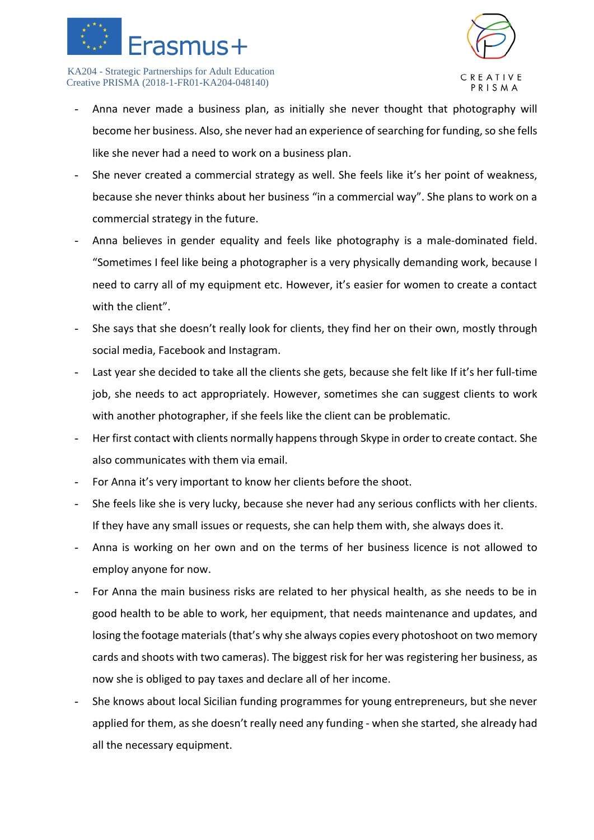



- Anna never made a business plan, as initially she never thought that photography will become her business. Also, she never had an experience of searching for funding, so she fells like she never had a need to work on a business plan.
- She never created a commercial strategy as well. She feels like it's her point of weakness, because she never thinks about her business "in a commercial way". She plans to work on a commercial strategy in the future.
- Anna believes in gender equality and feels like photography is a male-dominated field. "Sometimes I feel like being a photographer is a very physically demanding work, because I need to carry all of my equipment etc. However, it's easier for women to create a contact with the client".
- She says that she doesn't really look for clients, they find her on their own, mostly through social media, Facebook and Instagram.
- Last year she decided to take all the clients she gets, because she felt like If it's her full-time job, she needs to act appropriately. However, sometimes she can suggest clients to work with another photographer, if she feels like the client can be problematic.
- Her first contact with clients normally happens through Skype in order to create contact. She also communicates with them via email.
- For Anna it's very important to know her clients before the shoot.
- She feels like she is very lucky, because she never had any serious conflicts with her clients. If they have any small issues or requests, she can help them with, she always does it.
- Anna is working on her own and on the terms of her business licence is not allowed to employ anyone for now.
- For Anna the main business risks are related to her physical health, as she needs to be in good health to be able to work, her equipment, that needs maintenance and updates, and losing the footage materials (that's why she always copies every photoshoot on two memory cards and shoots with two cameras). The biggest risk for her was registering her business, as now she is obliged to pay taxes and declare all of her income.
- She knows about local Sicilian funding programmes for young entrepreneurs, but she never applied for them, as she doesn't really need any funding - when she started, she already had all the necessary equipment.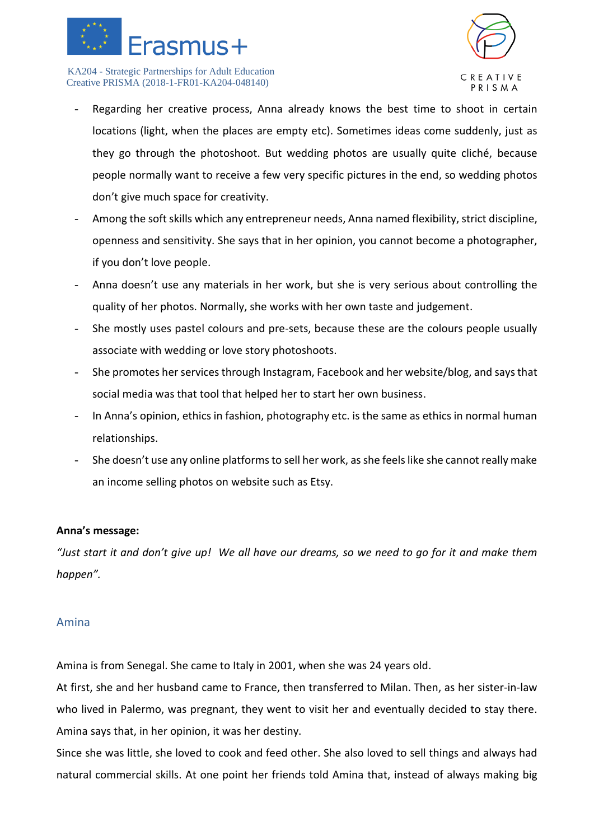



- Regarding her creative process, Anna already knows the best time to shoot in certain locations (light, when the places are empty etc). Sometimes ideas come suddenly, just as they go through the photoshoot. But wedding photos are usually quite cliché, because people normally want to receive a few very specific pictures in the end, so wedding photos don't give much space for creativity.
- Among the soft skills which any entrepreneur needs, Anna named flexibility, strict discipline, openness and sensitivity. She says that in her opinion, you cannot become a photographer, if you don't love people.
- Anna doesn't use any materials in her work, but she is very serious about controlling the quality of her photos. Normally, she works with her own taste and judgement.
- She mostly uses pastel colours and pre-sets, because these are the colours people usually associate with wedding or love story photoshoots.
- She promotes her services through Instagram, Facebook and her website/blog, and says that social media was that tool that helped her to start her own business.
- In Anna's opinion, ethics in fashion, photography etc. is the same as ethics in normal human relationships.
- She doesn't use any online platforms to sell her work, as she feels like she cannot really make an income selling photos on website such as Etsy.

## **Anna's message:**

*"Just start it and don't give up! We all have our dreams, so we need to go for it and make them happen".* 

## Amina

Amina is from Senegal. She came to Italy in 2001, when she was 24 years old.

At first, she and her husband came to France, then transferred to Milan. Then, as her sister-in-law who lived in Palermo, was pregnant, they went to visit her and eventually decided to stay there. Amina says that, in her opinion, it was her destiny.

Since she was little, she loved to cook and feed other. She also loved to sell things and always had natural commercial skills. At one point her friends told Amina that, instead of always making big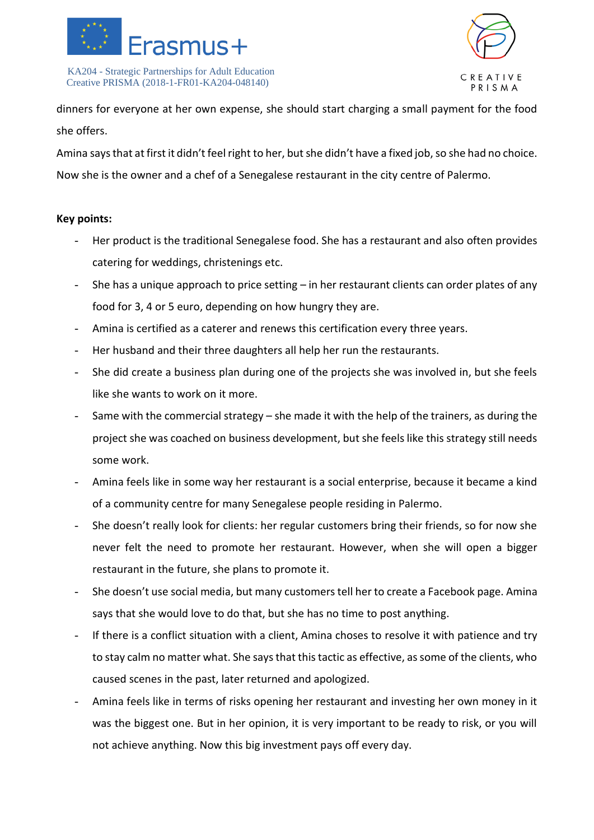



dinners for everyone at her own expense, she should start charging a small payment for the food she offers.

Amina says that at first it didn't feel right to her, but she didn't have a fixed job, so she had no choice. Now she is the owner and a chef of a Senegalese restaurant in the city centre of Palermo.

- Her product is the traditional Senegalese food. She has a restaurant and also often provides catering for weddings, christenings etc.
- She has a unique approach to price setting in her restaurant clients can order plates of any food for 3, 4 or 5 euro, depending on how hungry they are.
- Amina is certified as a caterer and renews this certification every three years.
- Her husband and their three daughters all help her run the restaurants.
- She did create a business plan during one of the projects she was involved in, but she feels like she wants to work on it more.
- Same with the commercial strategy she made it with the help of the trainers, as during the project she was coached on business development, but she feels like this strategy still needs some work.
- Amina feels like in some way her restaurant is a social enterprise, because it became a kind of a community centre for many Senegalese people residing in Palermo.
- She doesn't really look for clients: her regular customers bring their friends, so for now she never felt the need to promote her restaurant. However, when she will open a bigger restaurant in the future, she plans to promote it.
- She doesn't use social media, but many customers tell her to create a Facebook page. Amina says that she would love to do that, but she has no time to post anything.
- If there is a conflict situation with a client, Amina choses to resolve it with patience and try to stay calm no matter what. She says that this tactic as effective, as some of the clients, who caused scenes in the past, later returned and apologized.
- Amina feels like in terms of risks opening her restaurant and investing her own money in it was the biggest one. But in her opinion, it is very important to be ready to risk, or you will not achieve anything. Now this big investment pays off every day.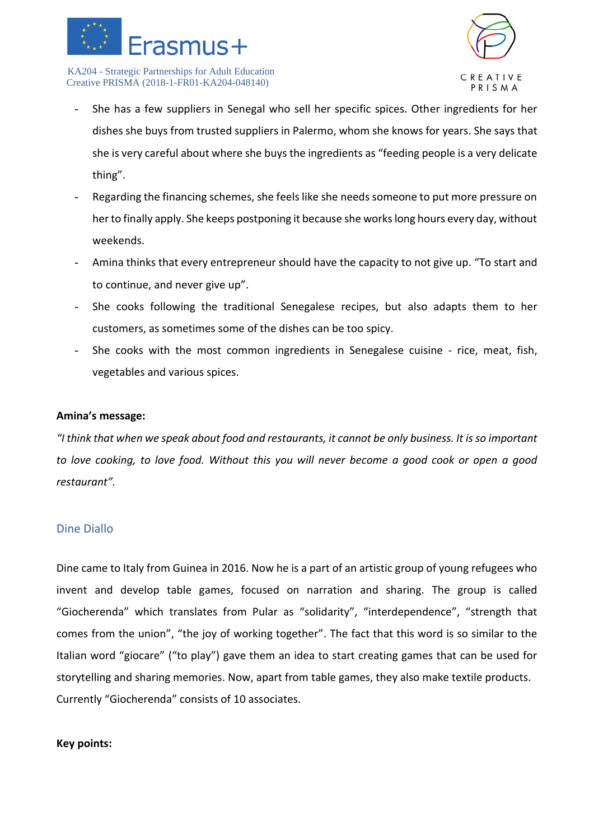



- She has a few suppliers in Senegal who sell her specific spices. Other ingredients for her dishes she buys from trusted suppliers in Palermo, whom she knows for years. She says that she is very careful about where she buys the ingredients as "feeding people is a very delicate thing".
- Regarding the financing schemes, she feels like she needs someone to put more pressure on her to finally apply. She keeps postponing it because she works long hours every day, without weekends.
- Amina thinks that every entrepreneur should have the capacity to not give up. "To start and to continue, and never give up".
- She cooks following the traditional Senegalese recipes, but also adapts them to her customers, as sometimes some of the dishes can be too spicy.
- She cooks with the most common ingredients in Senegalese cuisine rice, meat, fish, vegetables and various spices.

#### **Amina's message:**

*"I think that when we speak about food and restaurants, it cannot be only business. It is so important to love cooking, to love food. Without this you will never become a good cook or open a good restaurant".*

## Dine Diallo

Dine came to Italy from Guinea in 2016. Now he is a part of an artistic group of young refugees who invent and develop table games, focused on narration and sharing. The group is called "Giocherenda" which translates from Pular as "solidarity", "interdependence", "strength that comes from the union", "the joy of working together". The fact that this word is so similar to the Italian word "giocare" ("to play") gave them an idea to start creating games that can be used for storytelling and sharing memories. Now, apart from table games, they also make textile products. Currently "Giocherenda" consists of 10 associates.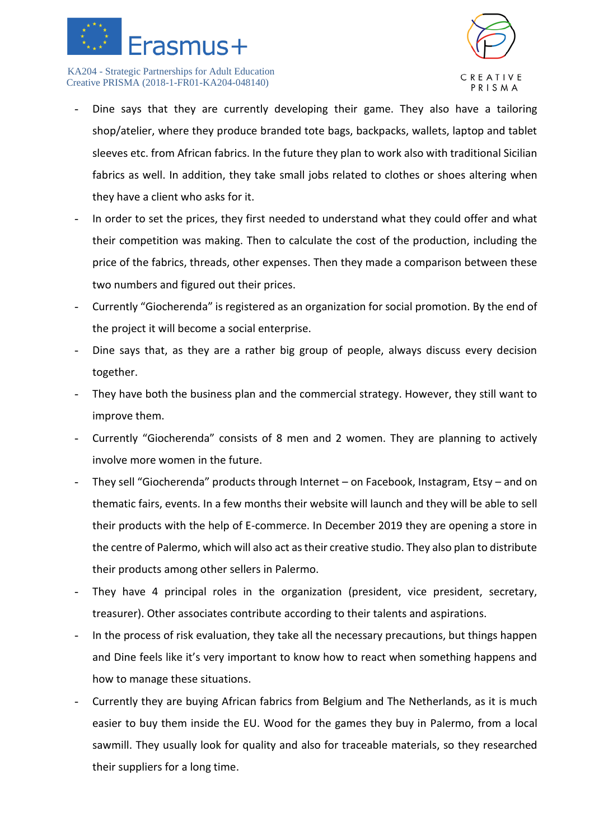



- Dine says that they are currently developing their game. They also have a tailoring shop/atelier, where they produce branded tote bags, backpacks, wallets, laptop and tablet sleeves etc. from African fabrics. In the future they plan to work also with traditional Sicilian fabrics as well. In addition, they take small jobs related to clothes or shoes altering when they have a client who asks for it.
- In order to set the prices, they first needed to understand what they could offer and what their competition was making. Then to calculate the cost of the production, including the price of the fabrics, threads, other expenses. Then they made a comparison between these two numbers and figured out their prices.
- Currently "Giocherenda" is registered as an organization for social promotion. By the end of the project it will become a social enterprise.
- Dine says that, as they are a rather big group of people, always discuss every decision together.
- They have both the business plan and the commercial strategy. However, they still want to improve them.
- Currently "Giocherenda" consists of 8 men and 2 women. They are planning to actively involve more women in the future.
- They sell "Giocherenda" products through Internet on Facebook, Instagram, Etsy and on thematic fairs, events. In a few months their website will launch and they will be able to sell their products with the help of E-commerce. In December 2019 they are opening a store in the centre of Palermo, which will also act as their creative studio. They also plan to distribute their products among other sellers in Palermo.
- They have 4 principal roles in the organization (president, vice president, secretary, treasurer). Other associates contribute according to their talents and aspirations.
- In the process of risk evaluation, they take all the necessary precautions, but things happen and Dine feels like it's very important to know how to react when something happens and how to manage these situations.
- Currently they are buying African fabrics from Belgium and The Netherlands, as it is much easier to buy them inside the EU. Wood for the games they buy in Palermo, from a local sawmill. They usually look for quality and also for traceable materials, so they researched their suppliers for a long time.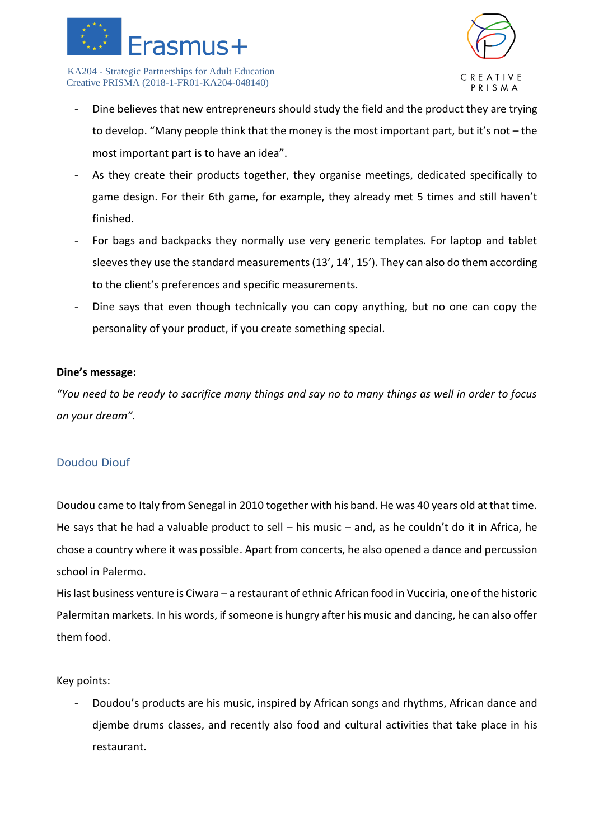



- Dine believes that new entrepreneurs should study the field and the product they are trying to develop. "Many people think that the money is the most important part, but it's not – the most important part is to have an idea".
- As they create their products together, they organise meetings, dedicated specifically to game design. For their 6th game, for example, they already met 5 times and still haven't finished.
- For bags and backpacks they normally use very generic templates. For laptop and tablet sleeves they use the standard measurements (13', 14', 15'). They can also do them according to the client's preferences and specific measurements.
- Dine says that even though technically you can copy anything, but no one can copy the personality of your product, if you create something special.

#### **Dine's message:**

*"You need to be ready to sacrifice many things and say no to many things as well in order to focus on your dream".* 

## Doudou Diouf

Doudou came to Italy from Senegal in 2010 together with his band. He was 40 years old at that time. He says that he had a valuable product to sell – his music – and, as he couldn't do it in Africa, he chose a country where it was possible. Apart from concerts, he also opened a dance and percussion school in Palermo.

His last business venture is Ciwara – a restaurant of ethnic African food in Vucciria, one of the historic Palermitan markets. In his words, if someone is hungry after his music and dancing, he can also offer them food.

Key points:

- Doudou's products are his music, inspired by African songs and rhythms, African dance and djembe drums classes, and recently also food and cultural activities that take place in his restaurant.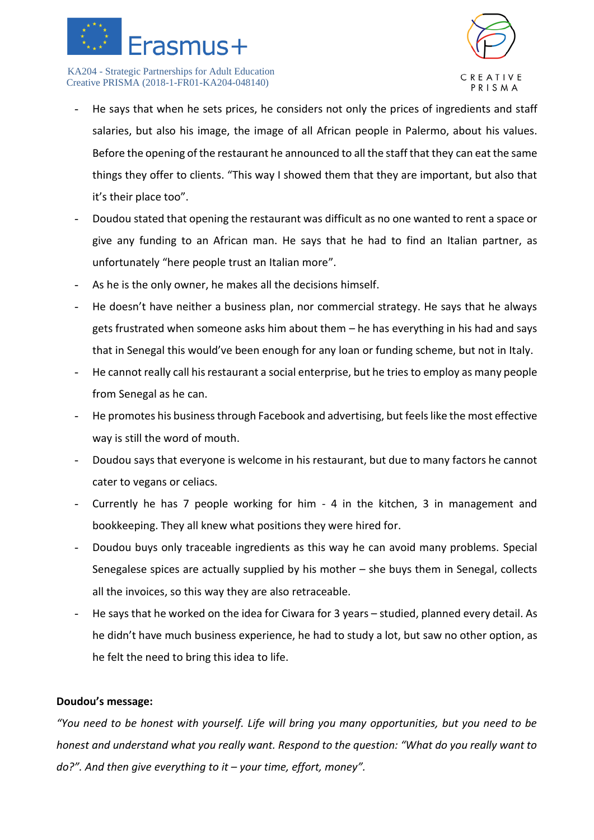



- He says that when he sets prices, he considers not only the prices of ingredients and staff salaries, but also his image, the image of all African people in Palermo, about his values. Before the opening of the restaurant he announced to all the staff that they can eat the same things they offer to clients. "This way I showed them that they are important, but also that it's their place too".
- Doudou stated that opening the restaurant was difficult as no one wanted to rent a space or give any funding to an African man. He says that he had to find an Italian partner, as unfortunately "here people trust an Italian more".
- As he is the only owner, he makes all the decisions himself.
- He doesn't have neither a business plan, nor commercial strategy. He says that he always gets frustrated when someone asks him about them – he has everything in his had and says that in Senegal this would've been enough for any loan or funding scheme, but not in Italy.
- He cannot really call his restaurant a social enterprise, but he tries to employ as many people from Senegal as he can.
- He promotes his business through Facebook and advertising, but feels like the most effective way is still the word of mouth.
- Doudou says that everyone is welcome in his restaurant, but due to many factors he cannot cater to vegans or celiacs.
- Currently he has 7 people working for him 4 in the kitchen, 3 in management and bookkeeping. They all knew what positions they were hired for.
- Doudou buys only traceable ingredients as this way he can avoid many problems. Special Senegalese spices are actually supplied by his mother – she buys them in Senegal, collects all the invoices, so this way they are also retraceable.
- He says that he worked on the idea for Ciwara for 3 years studied, planned every detail. As he didn't have much business experience, he had to study a lot, but saw no other option, as he felt the need to bring this idea to life.

## **Doudou's message:**

*"You need to be honest with yourself. Life will bring you many opportunities, but you need to be honest and understand what you really want. Respond to the question: "What do you really want to do?". And then give everything to it – your time, effort, money".*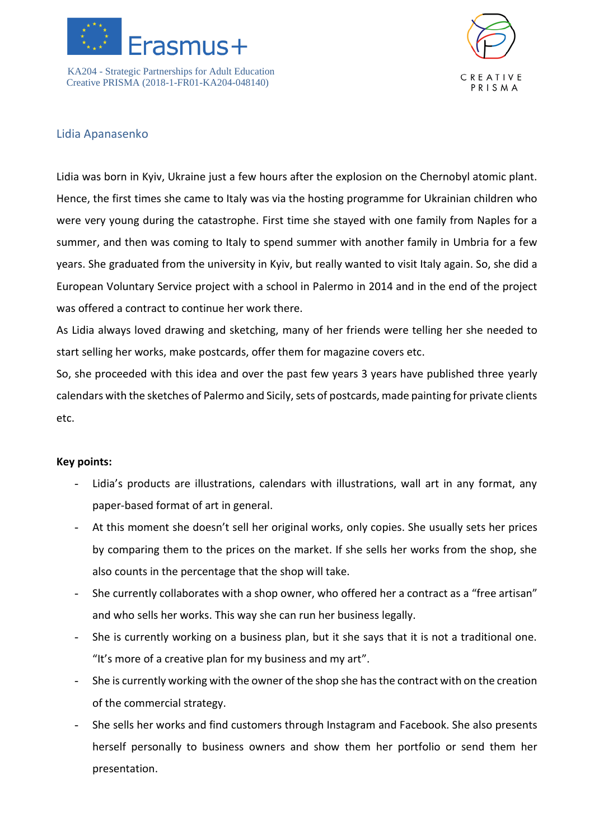



## Lidia Apanasenko

Lidia was born in Kyiv, Ukraine just a few hours after the explosion on the Chernobyl atomic plant. Hence, the first times she came to Italy was via the hosting programme for Ukrainian children who were very young during the catastrophe. First time she stayed with one family from Naples for a summer, and then was coming to Italy to spend summer with another family in Umbria for a few years. She graduated from the university in Kyiv, but really wanted to visit Italy again. So, she did a European Voluntary Service project with a school in Palermo in 2014 and in the end of the project was offered a contract to continue her work there.

As Lidia always loved drawing and sketching, many of her friends were telling her she needed to start selling her works, make postcards, offer them for magazine covers etc.

So, she proceeded with this idea and over the past few years 3 years have published three yearly calendars with the sketches of Palermo and Sicily, sets of postcards, made painting for private clients etc.

- Lidia's products are illustrations, calendars with illustrations, wall art in any format, any paper-based format of art in general.
- At this moment she doesn't sell her original works, only copies. She usually sets her prices by comparing them to the prices on the market. If she sells her works from the shop, she also counts in the percentage that the shop will take.
- She currently collaborates with a shop owner, who offered her a contract as a "free artisan" and who sells her works. This way she can run her business legally.
- She is currently working on a business plan, but it she says that it is not a traditional one. "It's more of a creative plan for my business and my art".
- She is currently working with the owner of the shop she has the contract with on the creation of the commercial strategy.
- She sells her works and find customers through Instagram and Facebook. She also presents herself personally to business owners and show them her portfolio or send them her presentation.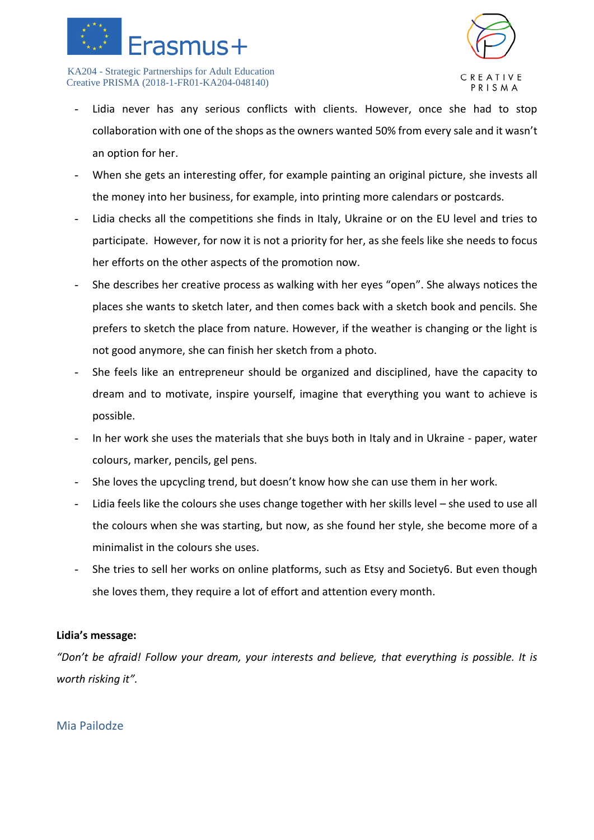



- Lidia never has any serious conflicts with clients. However, once she had to stop collaboration with one of the shops as the owners wanted 50% from every sale and it wasn't an option for her.
- When she gets an interesting offer, for example painting an original picture, she invests all the money into her business, for example, into printing more calendars or postcards.
- Lidia checks all the competitions she finds in Italy, Ukraine or on the EU level and tries to participate. However, for now it is not a priority for her, as she feels like she needs to focus her efforts on the other aspects of the promotion now.
- She describes her creative process as walking with her eyes "open". She always notices the places she wants to sketch later, and then comes back with a sketch book and pencils. She prefers to sketch the place from nature. However, if the weather is changing or the light is not good anymore, she can finish her sketch from a photo.
- She feels like an entrepreneur should be organized and disciplined, have the capacity to dream and to motivate, inspire yourself, imagine that everything you want to achieve is possible.
- In her work she uses the materials that she buys both in Italy and in Ukraine paper, water colours, marker, pencils, gel pens.
- She loves the upcycling trend, but doesn't know how she can use them in her work.
- Lidia feels like the colours she uses change together with her skills level she used to use all the colours when she was starting, but now, as she found her style, she become more of a minimalist in the colours she uses.
- She tries to sell her works on online platforms, such as Etsy and Society6. But even though she loves them, they require a lot of effort and attention every month.

#### **Lidia's message:**

*"Don't be afraid! Follow your dream, your interests and believe, that everything is possible. It is worth risking it".*

## Mia Pailodze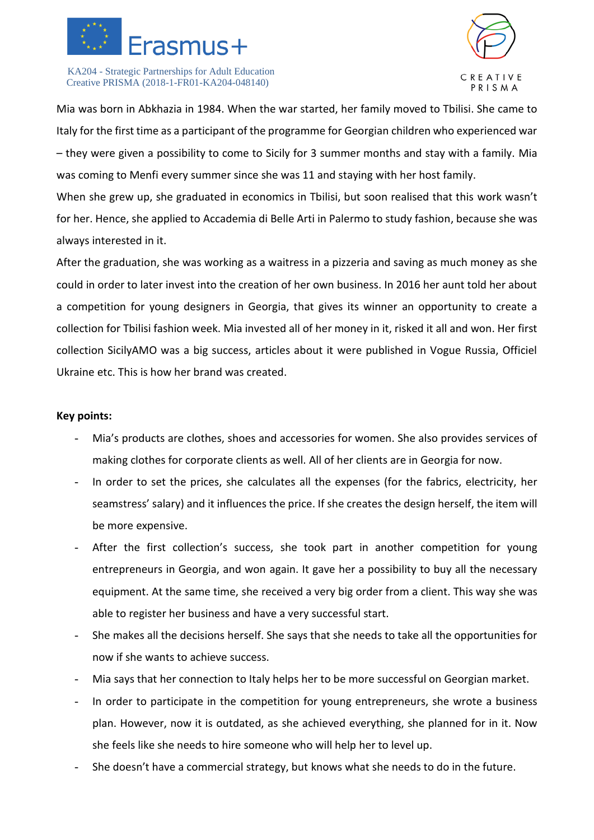



Mia was born in Abkhazia in 1984. When the war started, her family moved to Tbilisi. She came to Italy for the first time as a participant of the programme for Georgian children who experienced war – they were given a possibility to come to Sicily for 3 summer months and stay with a family. Mia was coming to Menfi every summer since she was 11 and staying with her host family.

When she grew up, she graduated in economics in Tbilisi, but soon realised that this work wasn't for her. Hence, she applied to Accademia di Belle Arti in Palermo to study fashion, because she was always interested in it.

After the graduation, she was working as a waitress in a pizzeria and saving as much money as she could in order to later invest into the creation of her own business. In 2016 her aunt told her about a competition for young designers in Georgia, that gives its winner an opportunity to create a collection for Tbilisi fashion week. Mia invested all of her money in it, risked it all and won. Her first collection SicilyAMO was a big success, articles about it were published in Vogue Russia, Officiel Ukraine etc. This is how her brand was created.

- Mia's products are clothes, shoes and accessories for women. She also provides services of making clothes for corporate clients as well. All of her clients are in Georgia for now.
- In order to set the prices, she calculates all the expenses (for the fabrics, electricity, her seamstress' salary) and it influences the price. If she creates the design herself, the item will be more expensive.
- After the first collection's success, she took part in another competition for young entrepreneurs in Georgia, and won again. It gave her a possibility to buy all the necessary equipment. At the same time, she received a very big order from a client. This way she was able to register her business and have a very successful start.
- She makes all the decisions herself. She says that she needs to take all the opportunities for now if she wants to achieve success.
- Mia says that her connection to Italy helps her to be more successful on Georgian market.
- In order to participate in the competition for young entrepreneurs, she wrote a business plan. However, now it is outdated, as she achieved everything, she planned for in it. Now she feels like she needs to hire someone who will help her to level up.
- She doesn't have a commercial strategy, but knows what she needs to do in the future.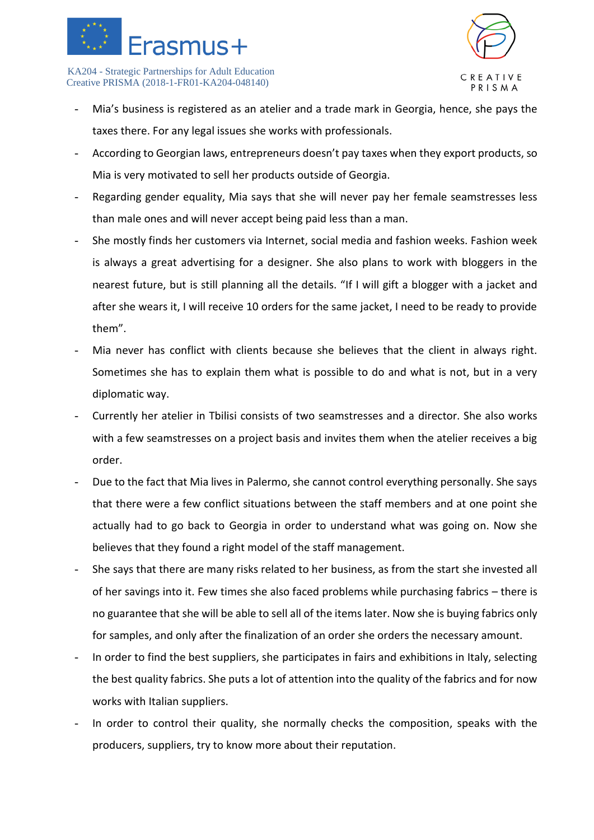



- Mia's business is registered as an atelier and a trade mark in Georgia, hence, she pays the taxes there. For any legal issues she works with professionals.
- According to Georgian laws, entrepreneurs doesn't pay taxes when they export products, so Mia is very motivated to sell her products outside of Georgia.
- Regarding gender equality, Mia says that she will never pay her female seamstresses less than male ones and will never accept being paid less than a man.
- She mostly finds her customers via Internet, social media and fashion weeks. Fashion week is always a great advertising for a designer. She also plans to work with bloggers in the nearest future, but is still planning all the details. "If I will gift a blogger with a jacket and after she wears it, I will receive 10 orders for the same jacket, I need to be ready to provide them".
- Mia never has conflict with clients because she believes that the client in always right. Sometimes she has to explain them what is possible to do and what is not, but in a very diplomatic way.
- Currently her atelier in Tbilisi consists of two seamstresses and a director. She also works with a few seamstresses on a project basis and invites them when the atelier receives a big order.
- Due to the fact that Mia lives in Palermo, she cannot control everything personally. She says that there were a few conflict situations between the staff members and at one point she actually had to go back to Georgia in order to understand what was going on. Now she believes that they found a right model of the staff management.
- She says that there are many risks related to her business, as from the start she invested all of her savings into it. Few times she also faced problems while purchasing fabrics – there is no guarantee that she will be able to sell all of the items later. Now she is buying fabrics only for samples, and only after the finalization of an order she orders the necessary amount.
- In order to find the best suppliers, she participates in fairs and exhibitions in Italy, selecting the best quality fabrics. She puts a lot of attention into the quality of the fabrics and for now works with Italian suppliers.
- In order to control their quality, she normally checks the composition, speaks with the producers, suppliers, try to know more about their reputation.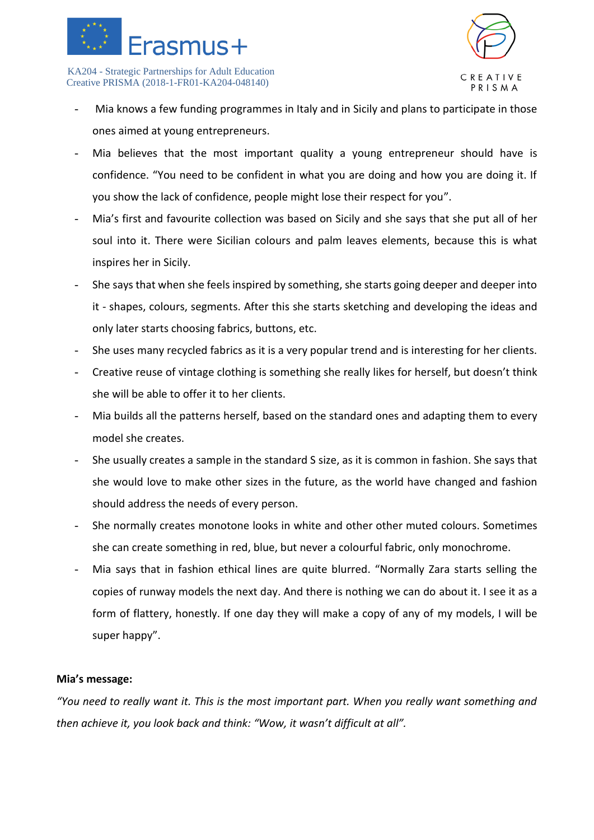



- Mia knows a few funding programmes in Italy and in Sicily and plans to participate in those ones aimed at young entrepreneurs.
- Mia believes that the most important quality a young entrepreneur should have is confidence. "You need to be confident in what you are doing and how you are doing it. If you show the lack of confidence, people might lose their respect for you".
- Mia's first and favourite collection was based on Sicily and she says that she put all of her soul into it. There were Sicilian colours and palm leaves elements, because this is what inspires her in Sicily.
- She says that when she feels inspired by something, she starts going deeper and deeper into it - shapes, colours, segments. After this she starts sketching and developing the ideas and only later starts choosing fabrics, buttons, etc.
- She uses many recycled fabrics as it is a very popular trend and is interesting for her clients.
- Creative reuse of vintage clothing is something she really likes for herself, but doesn't think she will be able to offer it to her clients.
- Mia builds all the patterns herself, based on the standard ones and adapting them to every model she creates.
- She usually creates a sample in the standard S size, as it is common in fashion. She says that she would love to make other sizes in the future, as the world have changed and fashion should address the needs of every person.
- She normally creates monotone looks in white and other other muted colours. Sometimes she can create something in red, blue, but never a colourful fabric, only monochrome.
- Mia says that in fashion ethical lines are quite blurred. "Normally Zara starts selling the copies of runway models the next day. And there is nothing we can do about it. I see it as a form of flattery, honestly. If one day they will make a copy of any of my models, I will be super happy".

#### **Mia's message:**

*"You need to really want it. This is the most important part. When you really want something and then achieve it, you look back and think: "Wow, it wasn't difficult at all".*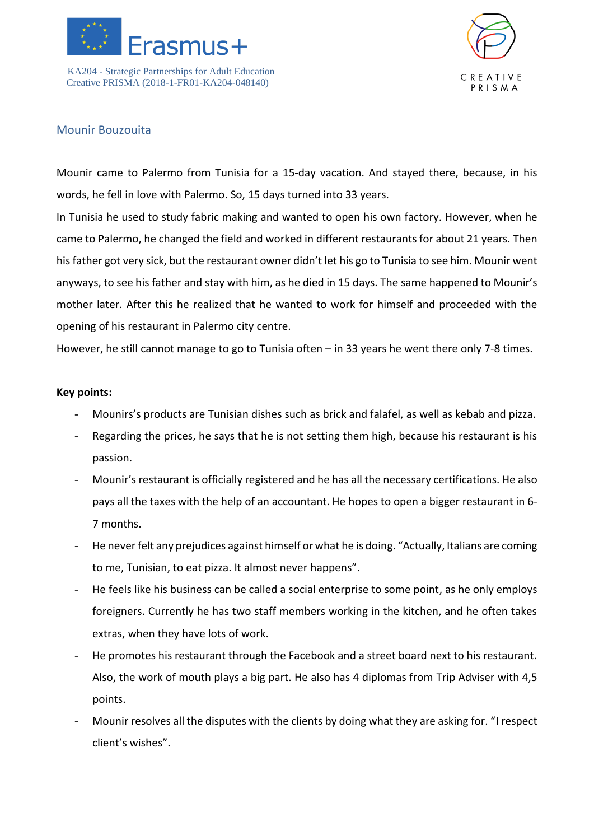



## Mounir Bouzouita

Mounir came to Palermo from Tunisia for a 15-day vacation. And stayed there, because, in his words, he fell in love with Palermo. So, 15 days turned into 33 years.

In Tunisia he used to study fabric making and wanted to open his own factory. However, when he came to Palermo, he changed the field and worked in different restaurants for about 21 years. Then his father got very sick, but the restaurant owner didn't let his go to Tunisia to see him. Mounir went anyways, to see his father and stay with him, as he died in 15 days. The same happened to Mounir's mother later. After this he realized that he wanted to work for himself and proceeded with the opening of his restaurant in Palermo city centre.

However, he still cannot manage to go to Tunisia often – in 33 years he went there only 7-8 times.

- Mounirs's products are Tunisian dishes such as brick and falafel, as well as kebab and pizza.
- Regarding the prices, he says that he is not setting them high, because his restaurant is his passion.
- Mounir's restaurant is officially registered and he has all the necessary certifications. He also pays all the taxes with the help of an accountant. He hopes to open a bigger restaurant in 6- 7 months.
- He never felt any prejudices against himself or what he is doing. "Actually, Italians are coming to me, Tunisian, to eat pizza. It almost never happens".
- He feels like his business can be called a social enterprise to some point, as he only employs foreigners. Currently he has two staff members working in the kitchen, and he often takes extras, when they have lots of work.
- He promotes his restaurant through the Facebook and a street board next to his restaurant. Also, the work of mouth plays a big part. He also has 4 diplomas from Trip Adviser with 4,5 points.
- Mounir resolves all the disputes with the clients by doing what they are asking for. "I respect client's wishes".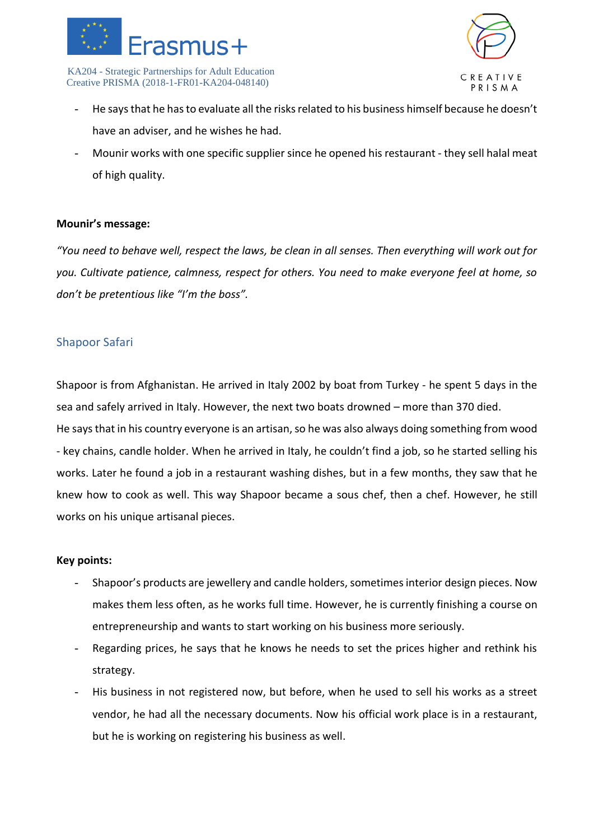



- He says that he has to evaluate all the risks related to his business himself because he doesn't have an adviser, and he wishes he had.
- Mounir works with one specific supplier since he opened his restaurant they sell halal meat of high quality.

#### **Mounir's message:**

*"You need to behave well, respect the laws, be clean in all senses. Then everything will work out for you. Cultivate patience, calmness, respect for others. You need to make everyone feel at home, so don't be pretentious like "I'm the boss".*

## Shapoor Safari

Shapoor is from Afghanistan. He arrived in Italy 2002 by boat from Turkey - he spent 5 days in the sea and safely arrived in Italy. However, the next two boats drowned – more than 370 died. He says that in his country everyone is an artisan, so he was also always doing something from wood - key chains, candle holder. When he arrived in Italy, he couldn't find a job, so he started selling his works. Later he found a job in a restaurant washing dishes, but in a few months, they saw that he knew how to cook as well. This way Shapoor became a sous chef, then a chef. However, he still works on his unique artisanal pieces.

- Shapoor's products are jewellery and candle holders, sometimes interior design pieces. Now makes them less often, as he works full time. However, he is currently finishing a course on entrepreneurship and wants to start working on his business more seriously.
- Regarding prices, he says that he knows he needs to set the prices higher and rethink his strategy.
- His business in not registered now, but before, when he used to sell his works as a street vendor, he had all the necessary documents. Now his official work place is in a restaurant, but he is working on registering his business as well.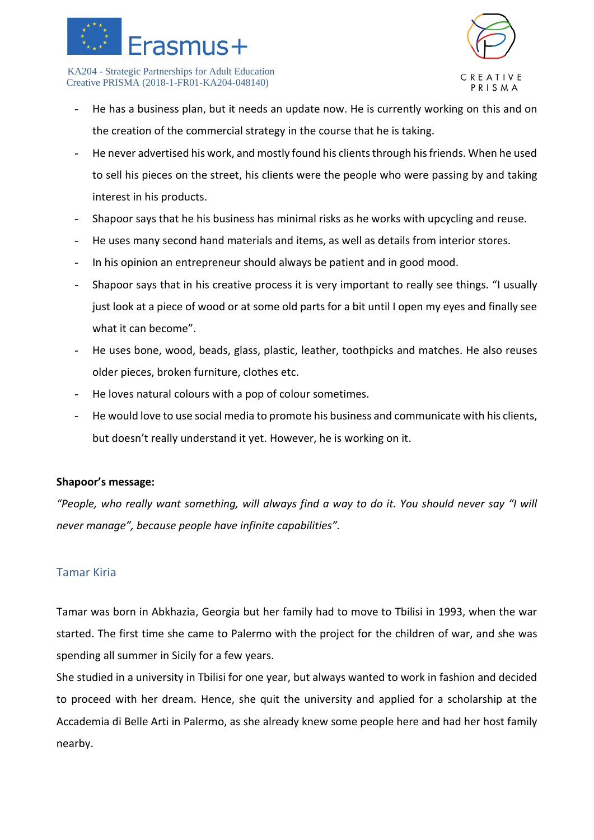



- He has a business plan, but it needs an update now. He is currently working on this and on the creation of the commercial strategy in the course that he is taking.
- He never advertised his work, and mostly found his clients through his friends. When he used to sell his pieces on the street, his clients were the people who were passing by and taking interest in his products.
- Shapoor says that he his business has minimal risks as he works with upcycling and reuse.
- He uses many second hand materials and items, as well as details from interior stores.
- In his opinion an entrepreneur should always be patient and in good mood.
- Shapoor says that in his creative process it is very important to really see things. "I usually just look at a piece of wood or at some old parts for a bit until I open my eyes and finally see what it can become".
- He uses bone, wood, beads, glass, plastic, leather, toothpicks and matches. He also reuses older pieces, broken furniture, clothes etc.
- He loves natural colours with a pop of colour sometimes.
- He would love to use social media to promote his business and communicate with his clients, but doesn't really understand it yet. However, he is working on it.

#### **Shapoor's message:**

*"People, who really want something, will always find a way to do it. You should never say "I will never manage", because people have infinite capabilities".* 

#### Tamar Kiria

Tamar was born in Abkhazia, Georgia but her family had to move to Tbilisi in 1993, when the war started. The first time she came to Palermo with the project for the children of war, and she was spending all summer in Sicily for a few years.

She studied in a university in Tbilisi for one year, but always wanted to work in fashion and decided to proceed with her dream. Hence, she quit the university and applied for a scholarship at the Accademia di Belle Arti in Palermo, as she already knew some people here and had her host family nearby.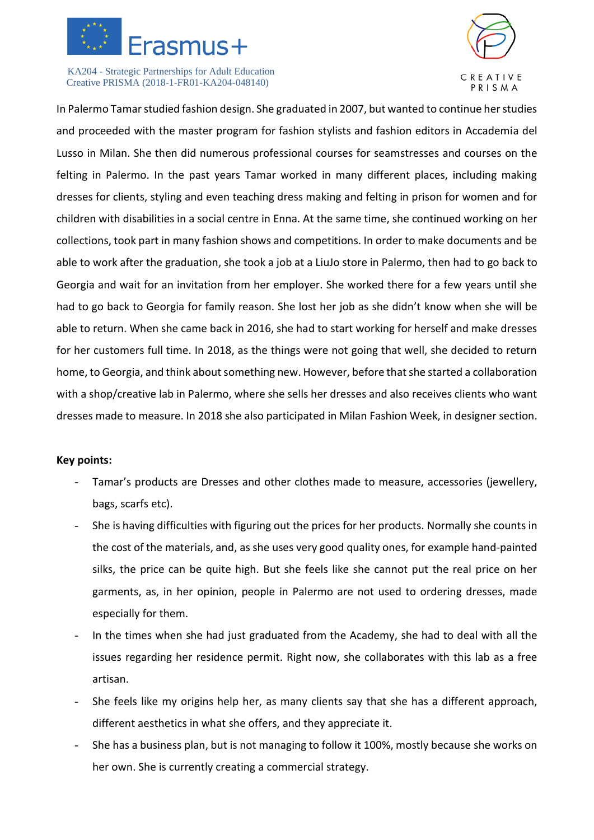



In Palermo Tamar studied fashion design. She graduated in 2007, but wanted to continue her studies and proceeded with the master program for fashion stylists and fashion editors in Accademia del Lusso in Milan. She then did numerous professional courses for seamstresses and courses on the felting in Palermo. In the past years Tamar worked in many different places, including making dresses for clients, styling and even teaching dress making and felting in prison for women and for children with disabilities in a social centre in Enna. At the same time, she continued working on her collections, took part in many fashion shows and competitions. In order to make documents and be able to work after the graduation, she took a job at a LiuJo store in Palermo, then had to go back to Georgia and wait for an invitation from her employer. She worked there for a few years until she had to go back to Georgia for family reason. She lost her job as she didn't know when she will be able to return. When she came back in 2016, she had to start working for herself and make dresses for her customers full time. In 2018, as the things were not going that well, she decided to return home, to Georgia, and think about something new. However, before that she started a collaboration with a shop/creative lab in Palermo, where she sells her dresses and also receives clients who want dresses made to measure. In 2018 she also participated in Milan Fashion Week, in designer section.

- Tamar's products are Dresses and other clothes made to measure, accessories (jewellery, bags, scarfs etc).
- She is having difficulties with figuring out the prices for her products. Normally she counts in the cost of the materials, and, as she uses very good quality ones, for example hand-painted silks, the price can be quite high. But she feels like she cannot put the real price on her garments, as, in her opinion, people in Palermo are not used to ordering dresses, made especially for them.
- In the times when she had just graduated from the Academy, she had to deal with all the issues regarding her residence permit. Right now, she collaborates with this lab as a free artisan.
- She feels like my origins help her, as many clients say that she has a different approach, different aesthetics in what she offers, and they appreciate it.
- She has a business plan, but is not managing to follow it 100%, mostly because she works on her own. She is currently creating a commercial strategy.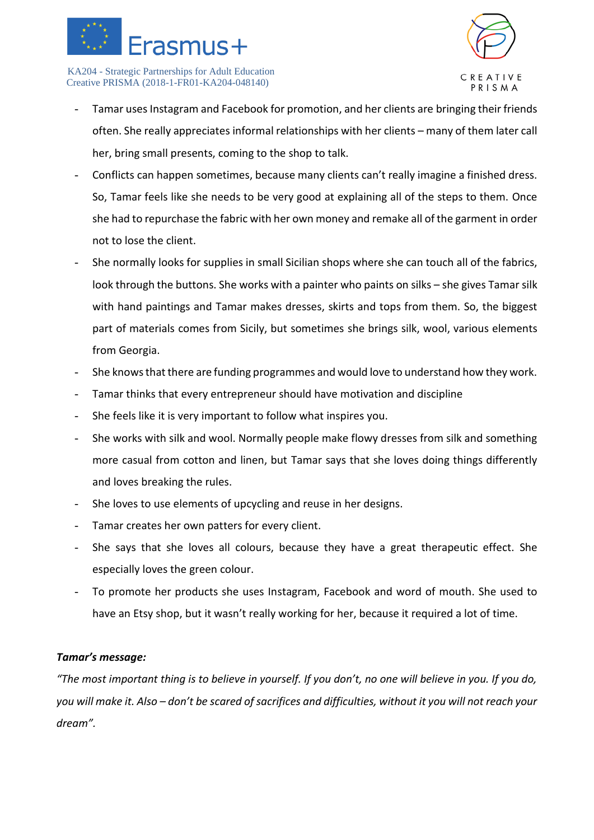



- Tamar uses Instagram and Facebook for promotion, and her clients are bringing their friends often. She really appreciates informal relationships with her clients – many of them later call her, bring small presents, coming to the shop to talk.
- Conflicts can happen sometimes, because many clients can't really imagine a finished dress. So, Tamar feels like she needs to be very good at explaining all of the steps to them. Once she had to repurchase the fabric with her own money and remake all of the garment in order not to lose the client.
- She normally looks for supplies in small Sicilian shops where she can touch all of the fabrics, look through the buttons. She works with a painter who paints on silks – she gives Tamar silk with hand paintings and Tamar makes dresses, skirts and tops from them. So, the biggest part of materials comes from Sicily, but sometimes she brings silk, wool, various elements from Georgia.
- She knows that there are funding programmes and would love to understand how they work.
- Tamar thinks that every entrepreneur should have motivation and discipline
- She feels like it is very important to follow what inspires you.
- She works with silk and wool. Normally people make flowy dresses from silk and something more casual from cotton and linen, but Tamar says that she loves doing things differently and loves breaking the rules.
- She loves to use elements of upcycling and reuse in her designs.
- Tamar creates her own patters for every client.
- She says that she loves all colours, because they have a great therapeutic effect. She especially loves the green colour.
- To promote her products she uses Instagram, Facebook and word of mouth. She used to have an Etsy shop, but it wasn't really working for her, because it required a lot of time.

#### *Tamar's message:*

*"The most important thing is to believe in yourself. If you don't, no one will believe in you. If you do, you will make it. Also – don't be scared of sacrifices and difficulties, without it you will not reach your dream".*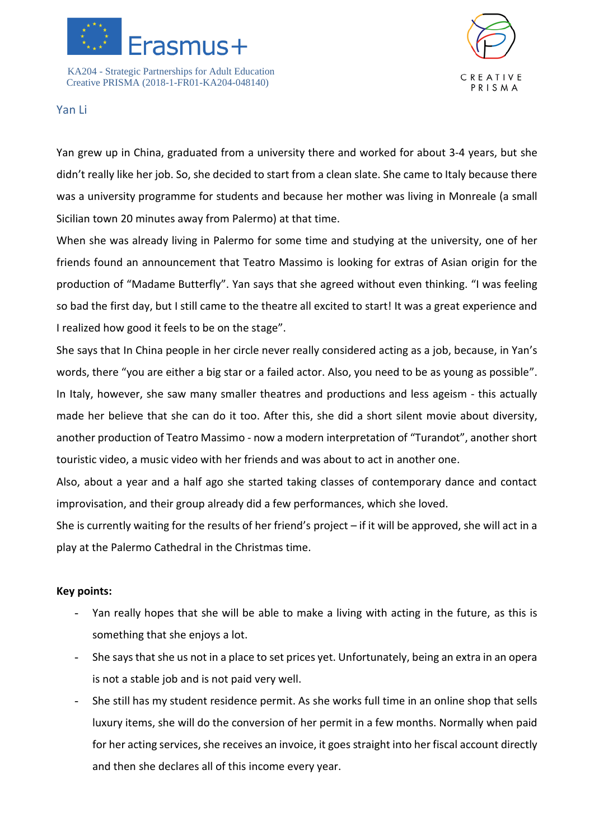



#### Yan Li

Yan grew up in China, graduated from a university there and worked for about 3-4 years, but she didn't really like her job. So, she decided to start from a clean slate. She came to Italy because there was a university programme for students and because her mother was living in Monreale (a small Sicilian town 20 minutes away from Palermo) at that time.

When she was already living in Palermo for some time and studying at the university, one of her friends found an announcement that Teatro Massimo is looking for extras of Asian origin for the production of "Madame Butterfly". Yan says that she agreed without even thinking. "I was feeling so bad the first day, but I still came to the theatre all excited to start! It was a great experience and I realized how good it feels to be on the stage".

She says that In China people in her circle never really considered acting as a job, because, in Yan's words, there "you are either a big star or a failed actor. Also, you need to be as young as possible". In Italy, however, she saw many smaller theatres and productions and less ageism - this actually made her believe that she can do it too. After this, she did a short silent movie about diversity, another production of Teatro Massimo - now a modern interpretation of "Turandot", another short touristic video, a music video with her friends and was about to act in another one.

Also, about a year and a half ago she started taking classes of contemporary dance and contact improvisation, and their group already did a few performances, which she loved.

She is currently waiting for the results of her friend's project – if it will be approved, she will act in a play at the Palermo Cathedral in the Christmas time.

- Yan really hopes that she will be able to make a living with acting in the future, as this is something that she enjoys a lot.
- She says that she us not in a place to set prices yet. Unfortunately, being an extra in an opera is not a stable job and is not paid very well.
- She still has my student residence permit. As she works full time in an online shop that sells luxury items, she will do the conversion of her permit in a few months. Normally when paid for her acting services, she receives an invoice, it goes straight into her fiscal account directly and then she declares all of this income every year.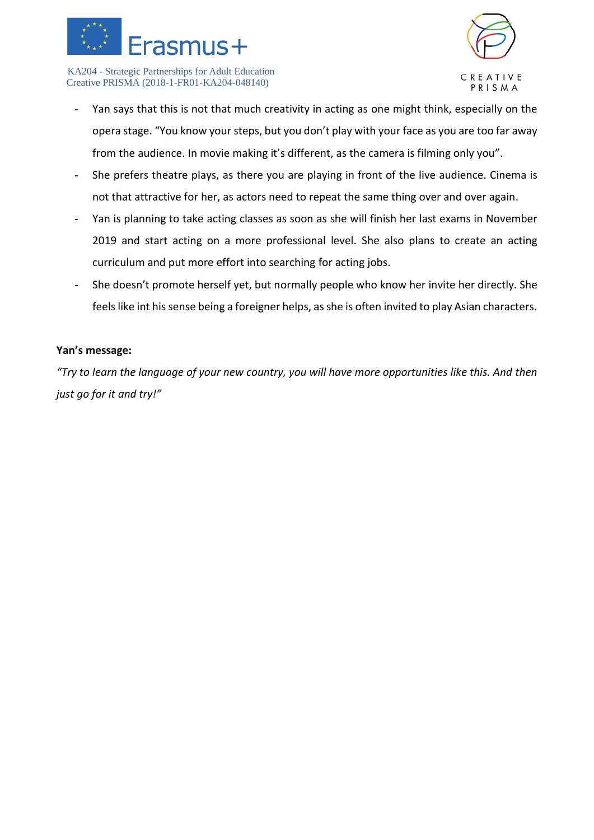



- Yan says that this is not that much creativity in acting as one might think, especially on the opera stage. "You know your steps, but you don't play with your face as you are too far away from the audience. In movie making it's different, as the camera is filming only you".
- She prefers theatre plays, as there you are playing in front of the live audience. Cinema is not that attractive for her, as actors need to repeat the same thing over and over again.
- Yan is planning to take acting classes as soon as she will finish her last exams in November 2019 and start acting on a more professional level. She also plans to create an acting curriculum and put more effort into searching for acting jobs.
- She doesn't promote herself yet, but normally people who know her invite her directly. She feels like int his sense being a foreigner helps, as she is often invited to play Asian characters.

## **Yan's message:**

*"Try to learn the language of your new country, you will have more opportunities like this. And then just go for it and try!"*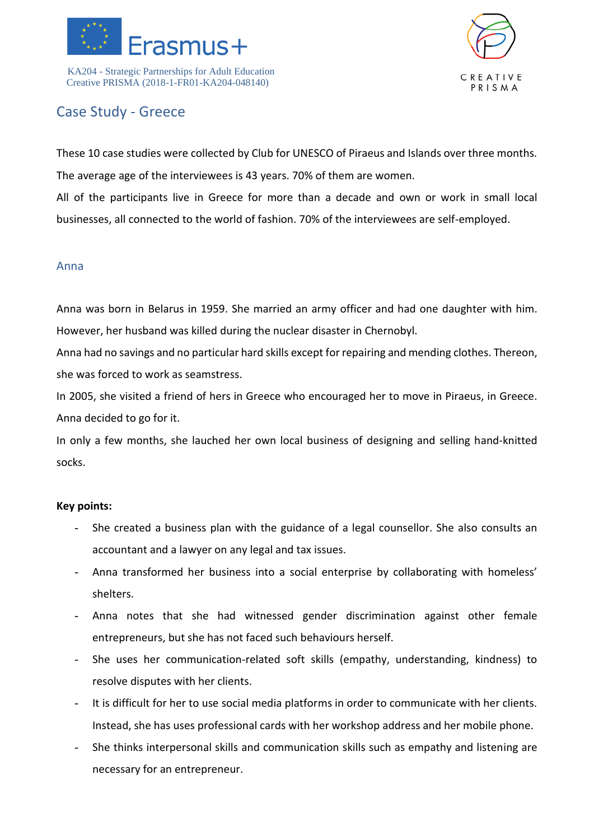



## Case Study - Greece

These 10 case studies were collected by Club for UNESCO of Piraeus and Islands over three months. The average age of the interviewees is 43 years. 70% of them are women.

All of the participants live in Greece for more than a decade and own or work in small local businesses, all connected to the world of fashion. 70% of the interviewees are self-employed.

## Anna

Anna was born in Belarus in 1959. She married an army officer and had one daughter with him. However, her husband was killed during the nuclear disaster in Chernobyl.

Anna had no savings and no particular hard skills except for repairing and mending clothes. Thereon, she was forced to work as seamstress.

In 2005, she visited a friend of hers in Greece who encouraged her to move in Piraeus, in Greece. Anna decided to go for it.

In only a few months, she lauched her own local business of designing and selling hand-knitted socks.

- She created a business plan with the guidance of a legal counsellor. She also consults an accountant and a lawyer on any legal and tax issues.
- Anna transformed her business into a social enterprise by collaborating with homeless' shelters.
- Anna notes that she had witnessed gender discrimination against other female entrepreneurs, but she has not faced such behaviours herself.
- She uses her communication-related soft skills (empathy, understanding, kindness) to resolve disputes with her clients.
- It is difficult for her to use social media platforms in order to communicate with her clients. Instead, she has uses professional cards with her workshop address and her mobile phone.
- She thinks interpersonal skills and communication skills such as empathy and listening are necessary for an entrepreneur.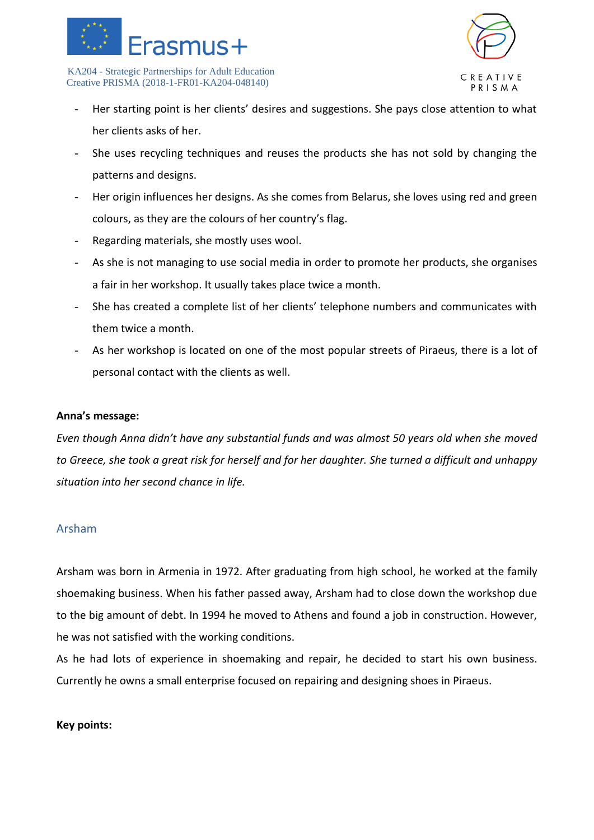



- Her starting point is her clients' desires and suggestions. She pays close attention to what her clients asks of her.
- She uses recycling techniques and reuses the products she has not sold by changing the patterns and designs.
- Her origin influences her designs. As she comes from Belarus, she loves using red and green colours, as they are the colours of her country's flag.
- Regarding materials, she mostly uses wool.
- As she is not managing to use social media in order to promote her products, she organises a fair in her workshop. It usually takes place twice a month.
- She has created a complete list of her clients' telephone numbers and communicates with them twice a month.
- As her workshop is located on one of the most popular streets of Piraeus, there is a lot of personal contact with the clients as well.

#### **Anna's message:**

*Even though Anna didn't have any substantial funds and was almost 50 years old when she moved to Greece, she took a great risk for herself and for her daughter. She turned a difficult and unhappy situation into her second chance in life.*

## Arsham

Arsham was born in Armenia in 1972. After graduating from high school, he worked at the family shoemaking business. When his father passed away, Arsham had to close down the workshop due to the big amount of debt. In 1994 he moved to Athens and found a job in construction. However, he was not satisfied with the working conditions.

As he had lots of experience in shoemaking and repair, he decided to start his own business. Currently he owns a small enterprise focused on repairing and designing shoes in Piraeus.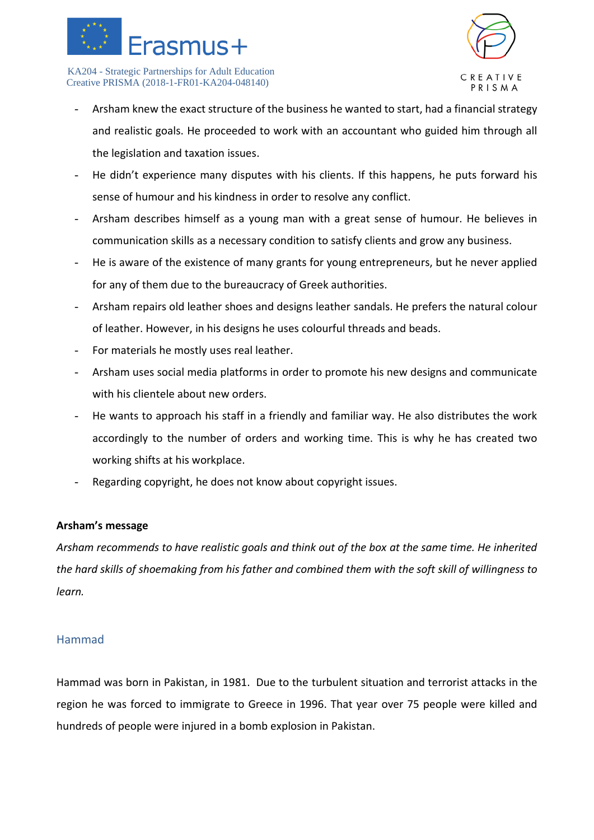



- Arsham knew the exact structure of the business he wanted to start, had a financial strategy and realistic goals. He proceeded to work with an accountant who guided him through all the legislation and taxation issues.
- He didn't experience many disputes with his clients. If this happens, he puts forward his sense of humour and his kindness in order to resolve any conflict.
- Arsham describes himself as a young man with a great sense of humour. He believes in communication skills as a necessary condition to satisfy clients and grow any business.
- He is aware of the existence of many grants for young entrepreneurs, but he never applied for any of them due to the bureaucracy of Greek authorities.
- Arsham repairs old leather shoes and designs leather sandals. He prefers the natural colour of leather. However, in his designs he uses colourful threads and beads.
- For materials he mostly uses real leather.
- Arsham uses social media platforms in order to promote his new designs and communicate with his clientele about new orders.
- He wants to approach his staff in a friendly and familiar way. He also distributes the work accordingly to the number of orders and working time. This is why he has created two working shifts at his workplace.
- Regarding copyright, he does not know about copyright issues.

#### **Arsham's message**

*Arsham recommends to have realistic goals and think out of the box at the same time. He inherited the hard skills of shoemaking from his father and combined them with the soft skill of willingness to learn.*

## Hammad

Hammad was born in Pakistan, in 1981. Due to the turbulent situation and terrorist attacks in the region he was forced to immigrate to Greece in 1996. That year over 75 people were killed and hundreds of people were injured in a bomb explosion in Pakistan.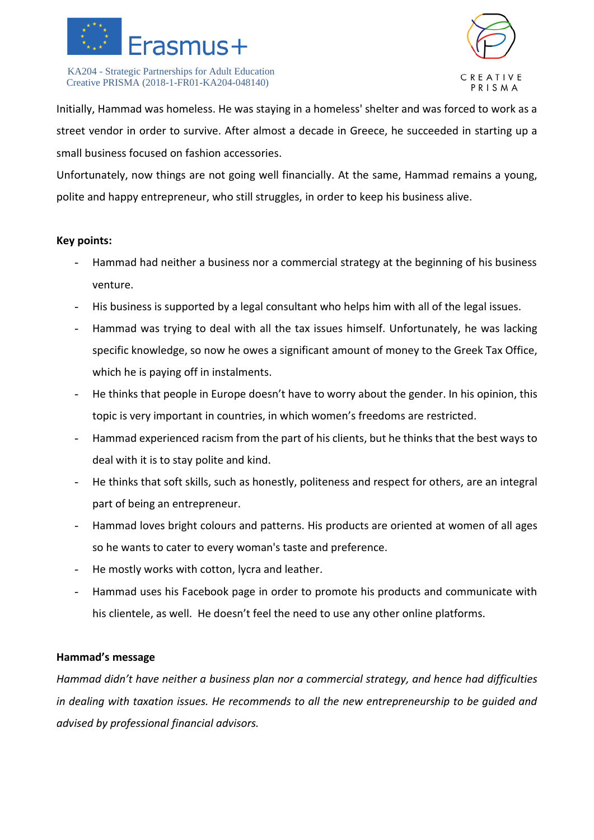



Initially, Hammad was homeless. He was staying in a homeless' shelter and was forced to work as a street vendor in order to survive. After almost a decade in Greece, he succeeded in starting up a small business focused on fashion accessories.

Unfortunately, now things are not going well financially. At the same, Hammad remains a young, polite and happy entrepreneur, who still struggles, in order to keep his business alive.

#### **Key points:**

- Hammad had neither a business nor a commercial strategy at the beginning of his business venture.
- His business is supported by a legal consultant who helps him with all of the legal issues.
- Hammad was trying to deal with all the tax issues himself. Unfortunately, he was lacking specific knowledge, so now he owes a significant amount of money to the Greek Tax Office, which he is paying off in instalments.
- He thinks that people in Europe doesn't have to worry about the gender. In his opinion, this topic is very important in countries, in which women's freedoms are restricted.
- Hammad experienced racism from the part of his clients, but he thinks that the best ways to deal with it is to stay polite and kind.
- He thinks that soft skills, such as honestly, politeness and respect for others, are an integral part of being an entrepreneur.
- Hammad loves bright colours and patterns. His products are oriented at women of all ages so he wants to cater to every woman's taste and preference.
- He mostly works with cotton, lycra and leather.
- Hammad uses his Facebook page in order to promote his products and communicate with his clientele, as well. He doesn't feel the need to use any other online platforms.

#### **Hammad's message**

*Hammad didn't have neither a business plan nor a commercial strategy, and hence had difficulties in dealing with taxation issues. He recommends to all the new entrepreneurship to be guided and advised by professional financial advisors.*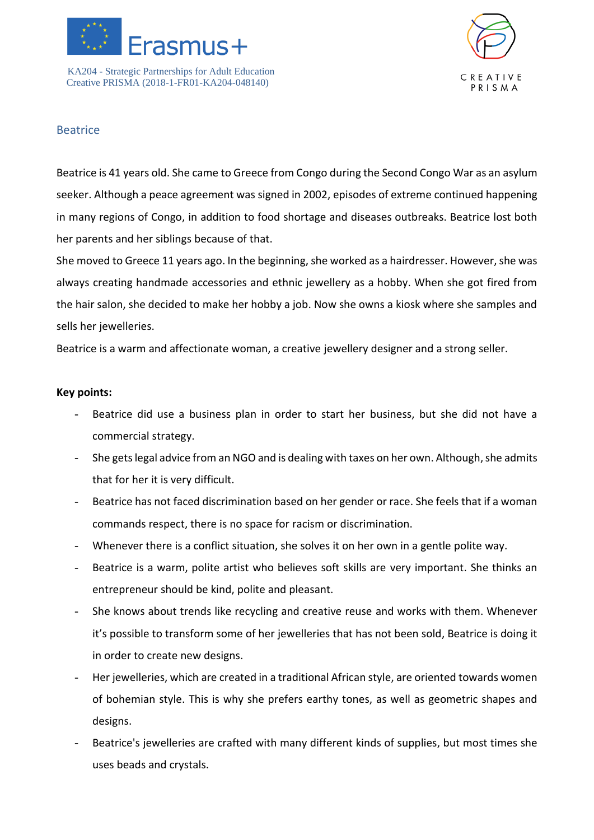



## **Beatrice**

Beatrice is 41 years old. She came to Greece from Congo during the Second Congo War as an asylum seeker. Although a peace agreement was signed in 2002, episodes of extreme continued happening in many regions of Congo, in addition to food shortage and diseases outbreaks. Beatrice lost both her parents and her siblings because of that.

She moved to Greece 11 years ago. In the beginning, she worked as a hairdresser. However, she was always creating handmade accessories and ethnic jewellery as a hobby. When she got fired from the hair salon, she decided to make her hobby a job. Now she owns a kiosk where she samples and sells her jewelleries.

Beatrice is a warm and affectionate woman, a creative jewellery designer and a strong seller.

- Beatrice did use a business plan in order to start her business, but she did not have a commercial strategy.
- She gets legal advice from an NGO and is dealing with taxes on her own. Although, she admits that for her it is very difficult.
- Beatrice has not faced discrimination based on her gender or race. She feels that if a woman commands respect, there is no space for racism or discrimination.
- Whenever there is a conflict situation, she solves it on her own in a gentle polite way.
- Beatrice is a warm, polite artist who believes soft skills are very important. She thinks an entrepreneur should be kind, polite and pleasant.
- She knows about trends like recycling and creative reuse and works with them. Whenever it's possible to transform some of her jewelleries that has not been sold, Beatrice is doing it in order to create new designs.
- Her jewelleries, which are created in a traditional African style, are oriented towards women of bohemian style. This is why she prefers earthy tones, as well as geometric shapes and designs.
- Beatrice's jewelleries are crafted with many different kinds of supplies, but most times she uses beads and crystals.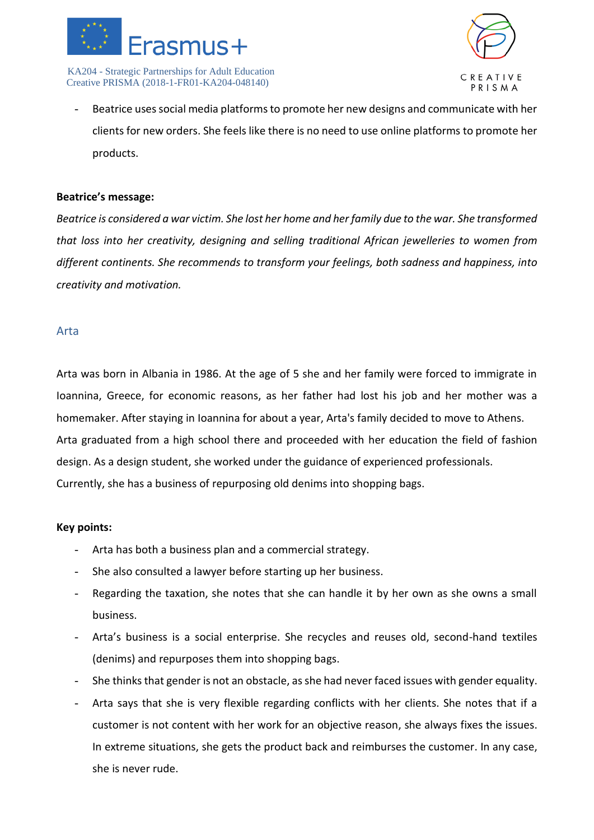



Beatrice uses social media platforms to promote her new designs and communicate with her clients for new orders. She feels like there is no need to use online platforms to promote her products.

#### **Beatrice's message:**

*Beatrice is considered a war victim. She lost her home and her family due to the war. She transformed that loss into her creativity, designing and selling traditional African jewelleries to women from different continents. She recommends to transform your feelings, both sadness and happiness, into creativity and motivation.*

#### Arta

Arta was born in Albania in 1986. At the age of 5 she and her family were forced to immigrate in Ioannina, Greece, for economic reasons, as her father had lost his job and her mother was a homemaker. After staying in Ioannina for about a year, Arta's family decided to move to Athens. Arta graduated from a high school there and proceeded with her education the field of fashion design. As a design student, she worked under the guidance of experienced professionals. Currently, she has a business of repurposing old denims into shopping bags.

- Arta has both a business plan and a commercial strategy.
- She also consulted a lawyer before starting up her business.
- Regarding the taxation, she notes that she can handle it by her own as she owns a small business.
- Arta's business is a social enterprise. She recycles and reuses old, second-hand textiles (denims) and repurposes them into shopping bags.
- She thinks that gender is not an obstacle, as she had never faced issues with gender equality.
- Arta says that she is very flexible regarding conflicts with her clients. She notes that if a customer is not content with her work for an objective reason, she always fixes the issues. In extreme situations, she gets the product back and reimburses the customer. In any case, she is never rude.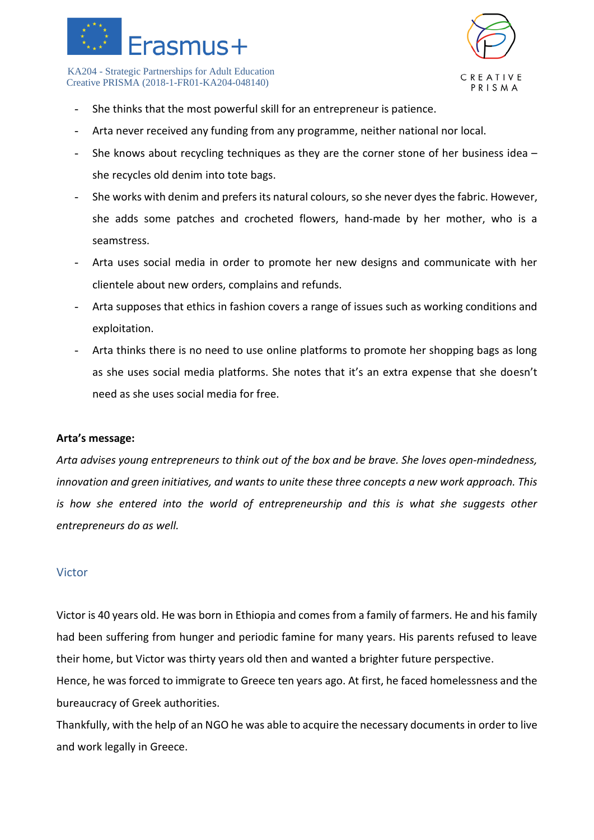



- She thinks that the most powerful skill for an entrepreneur is patience.
- Arta never received any funding from any programme, neither national nor local.
- She knows about recycling techniques as they are the corner stone of her business idea  $$ she recycles old denim into tote bags.
- She works with denim and prefers its natural colours, so she never dyes the fabric. However, she adds some patches and crocheted flowers, hand-made by her mother, who is a seamstress.
- Arta uses social media in order to promote her new designs and communicate with her clientele about new orders, complains and refunds.
- Arta supposes that ethics in fashion covers a range of issues such as working conditions and exploitation.
- Arta thinks there is no need to use online platforms to promote her shopping bags as long as she uses social media platforms. She notes that it's an extra expense that she doesn't need as she uses social media for free.

#### **Arta's message:**

*Arta advises young entrepreneurs to think out of the box and be brave. She loves open-mindedness, innovation and green initiatives, and wants to unite these three concepts a new work approach. This is how she entered into the world of entrepreneurship and this is what she suggests other entrepreneurs do as well.* 

#### Victor

Victor is 40 years old. He was born in Ethiopia and comes from a family of farmers. He and his family had been suffering from hunger and periodic famine for many years. His parents refused to leave their home, but Victor was thirty years old then and wanted a brighter future perspective.

Hence, he was forced to immigrate to Greece ten years ago. At first, he faced homelessness and the bureaucracy of Greek authorities.

Thankfully, with the help of an NGO he was able to acquire the necessary documents in order to live and work legally in Greece.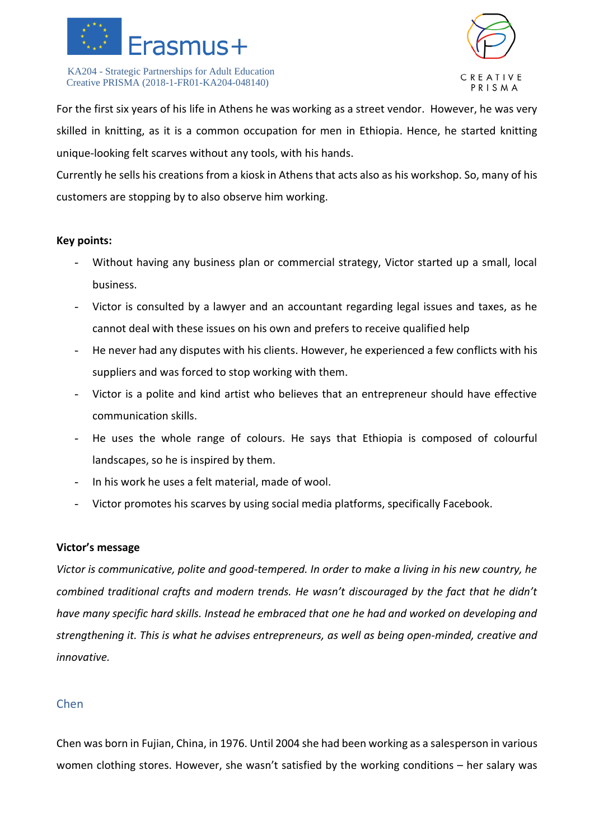



For the first six years of his life in Athens he was working as a street vendor. However, he was very skilled in knitting, as it is a common occupation for men in Ethiopia. Hence, he started knitting unique-looking felt scarves without any tools, with his hands.

Currently he sells his creations from a kiosk in Athens that acts also as his workshop. So, many of his customers are stopping by to also observe him working.

#### **Key points:**

- Without having any business plan or commercial strategy, Victor started up a small, local business.
- Victor is consulted by a lawyer and an accountant regarding legal issues and taxes, as he cannot deal with these issues on his own and prefers to receive qualified help
- He never had any disputes with his clients. However, he experienced a few conflicts with his suppliers and was forced to stop working with them.
- Victor is a polite and kind artist who believes that an entrepreneur should have effective communication skills.
- He uses the whole range of colours. He says that Ethiopia is composed of colourful landscapes, so he is inspired by them.
- In his work he uses a felt material, made of wool.
- Victor promotes his scarves by using social media platforms, specifically Facebook.

#### **Victor's message**

*Victor is communicative, polite and good-tempered. In order to make a living in his new country, he combined traditional crafts and modern trends. He wasn't discouraged by the fact that he didn't have many specific hard skills. Instead he embraced that one he had and worked on developing and strengthening it. This is what he advises entrepreneurs, as well as being open-minded, creative and innovative.*

## Chen

Chen was born in Fujian, China, in 1976. Until 2004 she had been working as a salesperson in various women clothing stores. However, she wasn't satisfied by the working conditions – her salary was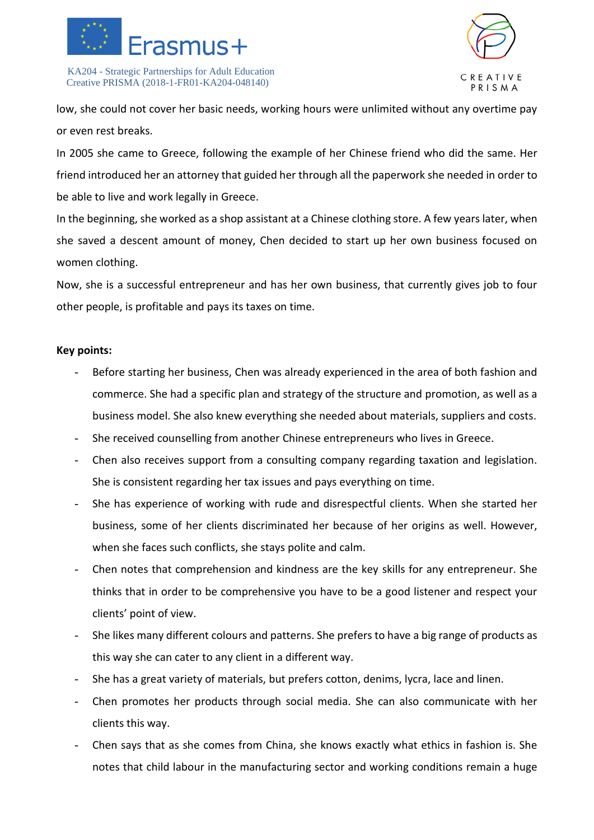



low, she could not cover her basic needs, working hours were unlimited without any overtime pay or even rest breaks.

In 2005 she came to Greece, following the example of her Chinese friend who did the same. Her friend introduced her an attorney that guided her through all the paperwork she needed in order to be able to live and work legally in Greece.

In the beginning, she worked as a shop assistant at a Chinese clothing store. A few years later, when she saved a descent amount of money, Chen decided to start up her own business focused on women clothing.

Now, she is a successful entrepreneur and has her own business, that currently gives job to four other people, is profitable and pays its taxes on time.

- Before starting her business, Chen was already experienced in the area of both fashion and commerce. She had a specific plan and strategy of the structure and promotion, as well as a business model. She also knew everything she needed about materials, suppliers and costs.
- She received counselling from another Chinese entrepreneurs who lives in Greece.
- Chen also receives support from a consulting company regarding taxation and legislation. She is consistent regarding her tax issues and pays everything on time.
- She has experience of working with rude and disrespectful clients. When she started her business, some of her clients discriminated her because of her origins as well. However, when she faces such conflicts, she stays polite and calm.
- Chen notes that comprehension and kindness are the key skills for any entrepreneur. She thinks that in order to be comprehensive you have to be a good listener and respect your clients' point of view.
- She likes many different colours and patterns. She prefers to have a big range of products as this way she can cater to any client in a different way.
- She has a great variety of materials, but prefers cotton, denims, lycra, lace and linen.
- Chen promotes her products through social media. She can also communicate with her clients this way.
- Chen says that as she comes from China, she knows exactly what ethics in fashion is. She notes that child labour in the manufacturing sector and working conditions remain a huge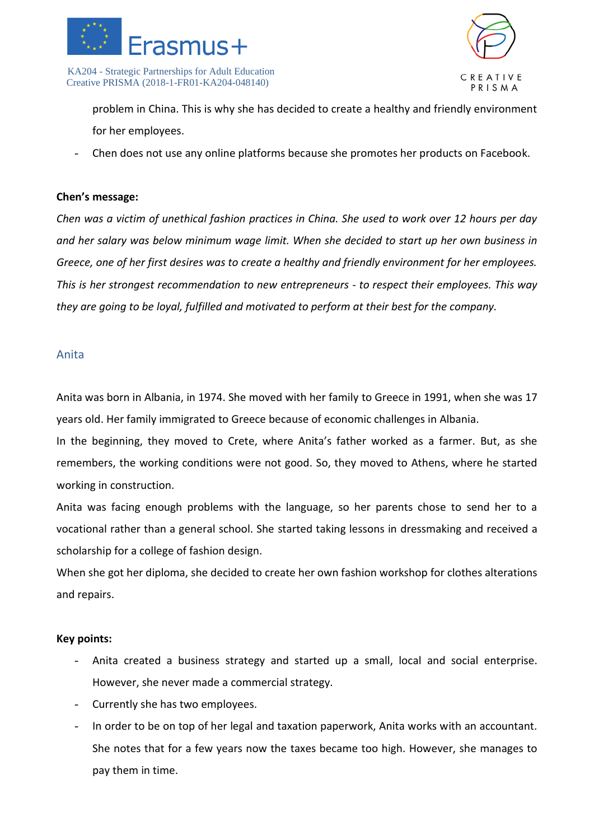



problem in China. This is why she has decided to create a healthy and friendly environment for her employees.

- Chen does not use any online platforms because she promotes her products on Facebook.

#### **Chen's message:**

*Chen was a victim of unethical fashion practices in China. She used to work over 12 hours per day and her salary was below minimum wage limit. When she decided to start up her own business in Greece, one of her first desires was to create a healthy and friendly environment for her employees. This is her strongest recommendation to new entrepreneurs - to respect their employees. This way they are going to be loyal, fulfilled and motivated to perform at their best for the company.*

#### Anita

Anita was born in Albania, in 1974. She moved with her family to Greece in 1991, when she was 17 years old. Her family immigrated to Greece because of economic challenges in Albania.

In the beginning, they moved to Crete, where Anita's father worked as a farmer. But, as she remembers, the working conditions were not good. So, they moved to Athens, where he started working in construction.

Anita was facing enough problems with the language, so her parents chose to send her to a vocational rather than a general school. She started taking lessons in dressmaking and received a scholarship for a college of fashion design.

When she got her diploma, she decided to create her own fashion workshop for clothes alterations and repairs.

- Anita created a business strategy and started up a small, local and social enterprise. However, she never made a commercial strategy.
- Currently she has two employees.
- In order to be on top of her legal and taxation paperwork, Anita works with an accountant. She notes that for a few years now the taxes became too high. However, she manages to pay them in time.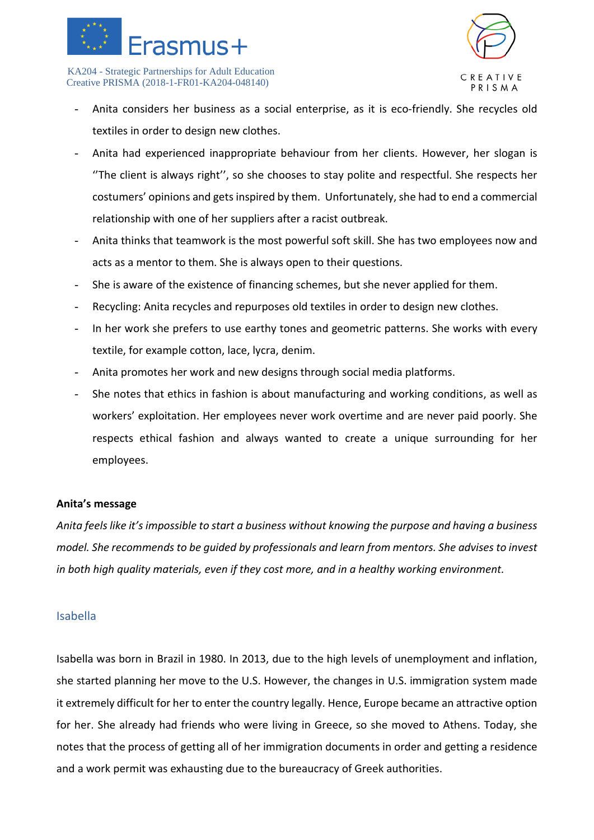



- Anita considers her business as a social enterprise, as it is eco-friendly. She recycles old textiles in order to design new clothes.
- Anita had experienced inappropriate behaviour from her clients. However, her slogan is ''The client is always right'', so she chooses to stay polite and respectful. She respects her costumers' opinions and gets inspired by them. Unfortunately, she had to end a commercial relationship with one of her suppliers after a racist outbreak.
- Anita thinks that teamwork is the most powerful soft skill. She has two employees now and acts as a mentor to them. She is always open to their questions.
- She is aware of the existence of financing schemes, but she never applied for them.
- Recycling: Anita recycles and repurposes old textiles in order to design new clothes.
- In her work she prefers to use earthy tones and geometric patterns. She works with every textile, for example cotton, lace, lycra, denim.
- Anita promotes her work and new designs through social media platforms.
- She notes that ethics in fashion is about manufacturing and working conditions, as well as workers' exploitation. Her employees never work overtime and are never paid poorly. She respects ethical fashion and always wanted to create a unique surrounding for her employees.

#### **Anita's message**

*Anita feels like it's impossible to start a business without knowing the purpose and having a business model. She recommends to be guided by professionals and learn from mentors. She advises to invest in both high quality materials, even if they cost more, and in a healthy working environment.*

#### Isabella

Isabella was born in Brazil in 1980. In 2013, due to the high levels of unemployment and inflation, she started planning her move to the U.S. However, the changes in U.S. immigration system made it extremely difficult for her to enter the country legally. Hence, Europe became an attractive option for her. She already had friends who were living in Greece, so she moved to Athens. Today, she notes that the process of getting all of her immigration documents in order and getting a residence and a work permit was exhausting due to the bureaucracy of Greek authorities.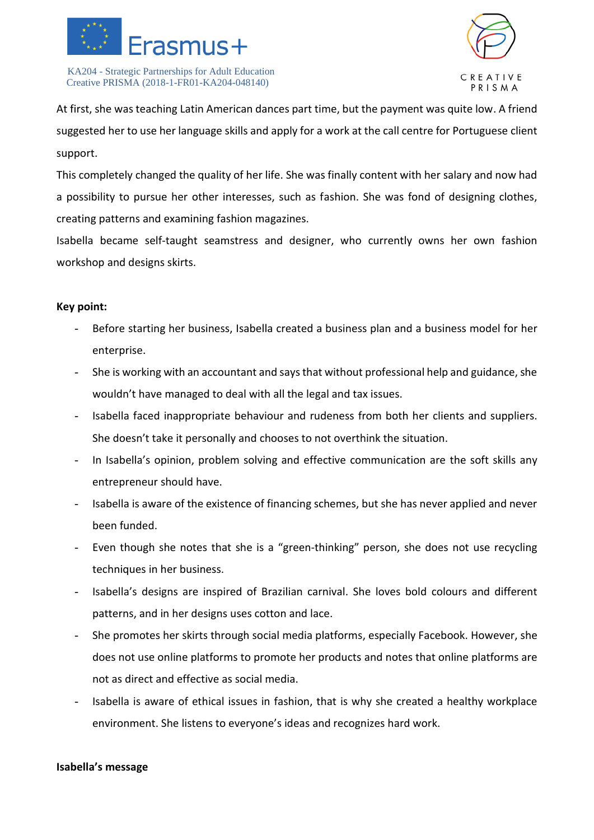



At first, she was teaching Latin American dances part time, but the payment was quite low. A friend suggested her to use her language skills and apply for a work at the call centre for Portuguese client support.

This completely changed the quality of her life. She was finally content with her salary and now had a possibility to pursue her other interesses, such as fashion. She was fond of designing clothes, creating patterns and examining fashion magazines.

Isabella became self-taught seamstress and designer, who currently owns her own fashion workshop and designs skirts.

#### **Key point:**

- Before starting her business, Isabella created a business plan and a business model for her enterprise.
- She is working with an accountant and says that without professional help and guidance, she wouldn't have managed to deal with all the legal and tax issues.
- Isabella faced inappropriate behaviour and rudeness from both her clients and suppliers. She doesn't take it personally and chooses to not overthink the situation.
- In Isabella's opinion, problem solving and effective communication are the soft skills any entrepreneur should have.
- Isabella is aware of the existence of financing schemes, but she has never applied and never been funded.
- Even though she notes that she is a "green-thinking" person, she does not use recycling techniques in her business.
- Isabella's designs are inspired of Brazilian carnival. She loves bold colours and different patterns, and in her designs uses cotton and lace.
- She promotes her skirts through social media platforms, especially Facebook. However, she does not use online platforms to promote her products and notes that online platforms are not as direct and effective as social media.
- Isabella is aware of ethical issues in fashion, that is why she created a healthy workplace environment. She listens to everyone's ideas and recognizes hard work.

#### **Isabella's message**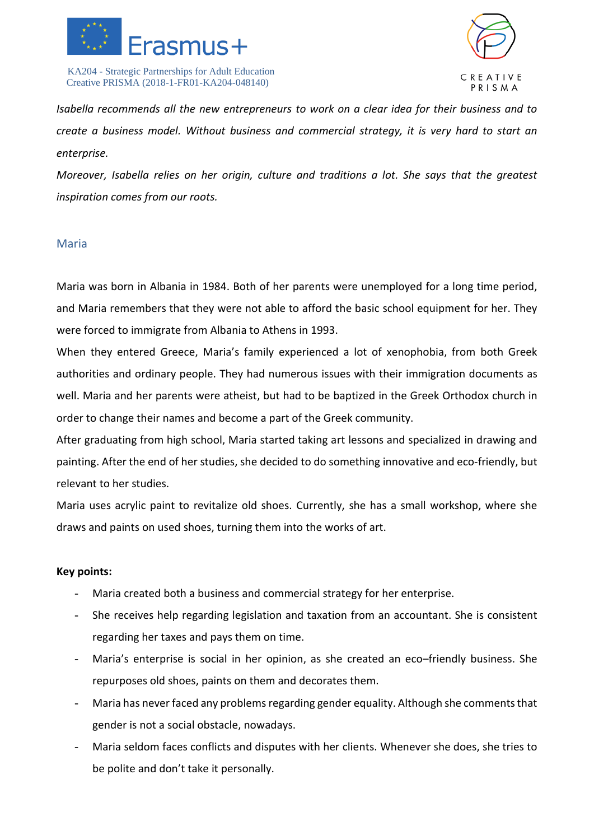



*Isabella recommends all the new entrepreneurs to work on a clear idea for their business and to create a business model. Without business and commercial strategy, it is very hard to start an enterprise.*

*Moreover, Isabella relies on her origin, culture and traditions a lot. She says that the greatest inspiration comes from our roots.* 

#### Maria

Maria was born in Albania in 1984. Both of her parents were unemployed for a long time period, and Maria remembers that they were not able to afford the basic school equipment for her. They were forced to immigrate from Albania to Athens in 1993.

When they entered Greece, Maria's family experienced a lot of xenophobia, from both Greek authorities and ordinary people. They had numerous issues with their immigration documents as well. Maria and her parents were atheist, but had to be baptized in the Greek Orthodox church in order to change their names and become a part of the Greek community.

After graduating from high school, Maria started taking art lessons and specialized in drawing and painting. After the end of her studies, she decided to do something innovative and eco-friendly, but relevant to her studies.

Maria uses acrylic paint to revitalize old shoes. Currently, she has a small workshop, where she draws and paints on used shoes, turning them into the works of art.

- Maria created both a business and commercial strategy for her enterprise.
- She receives help regarding legislation and taxation from an accountant. She is consistent regarding her taxes and pays them on time.
- Maria's enterprise is social in her opinion, as she created an eco–friendly business. She repurposes old shoes, paints on them and decorates them.
- Maria has never faced any problems regarding gender equality. Although she comments that gender is not a social obstacle, nowadays.
- Maria seldom faces conflicts and disputes with her clients. Whenever she does, she tries to be polite and don't take it personally.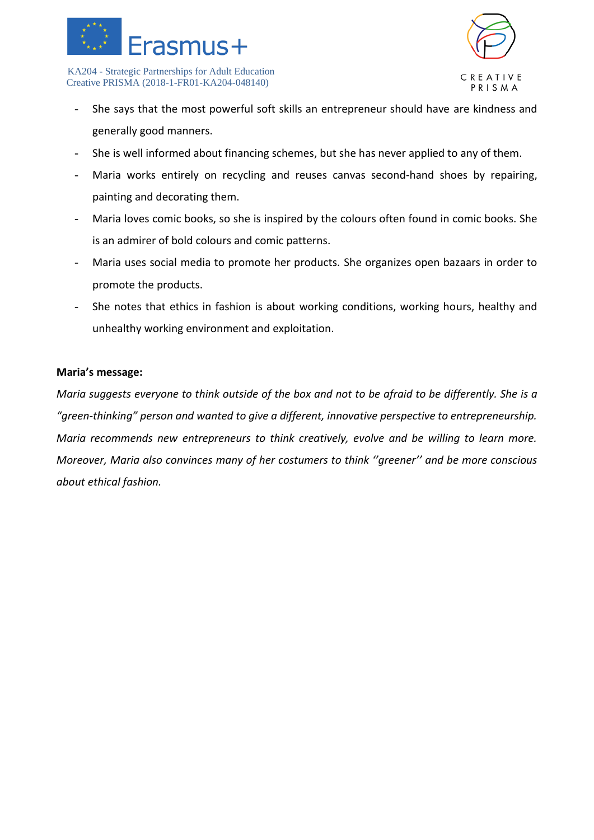



- She says that the most powerful soft skills an entrepreneur should have are kindness and generally good manners.
- She is well informed about financing schemes, but she has never applied to any of them.
- Maria works entirely on recycling and reuses canvas second-hand shoes by repairing, painting and decorating them.
- Maria loves comic books, so she is inspired by the colours often found in comic books. She is an admirer of bold colours and comic patterns.
- Maria uses social media to promote her products. She organizes open bazaars in order to promote the products.
- She notes that ethics in fashion is about working conditions, working hours, healthy and unhealthy working environment and exploitation.

#### **Maria's message:**

*Maria suggests everyone to think outside of the box and not to be afraid to be differently. She is a "green-thinking" person and wanted to give a different, innovative perspective to entrepreneurship. Maria recommends new entrepreneurs to think creatively, evolve and be willing to learn more. Moreover, Maria also convinces many of her costumers to think ''greener'' and be more conscious about ethical fashion.*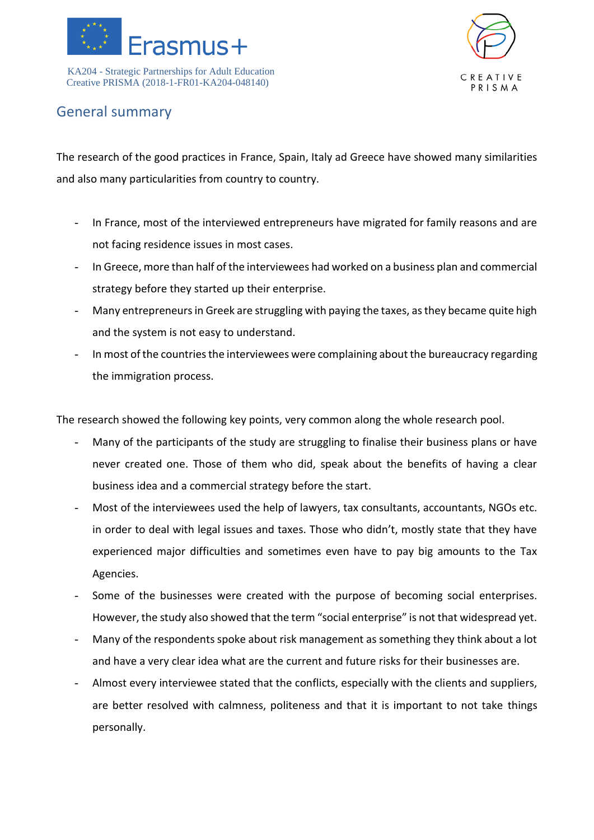



## General summary

The research of the good practices in France, Spain, Italy ad Greece have showed many similarities and also many particularities from country to country.

- In France, most of the interviewed entrepreneurs have migrated for family reasons and are not facing residence issues in most cases.
- In Greece, more than half of the interviewees had worked on a business plan and commercial strategy before they started up their enterprise.
- Many entrepreneurs in Greek are struggling with paying the taxes, as they became quite high and the system is not easy to understand.
- In most of the countries the interviewees were complaining about the bureaucracy regarding the immigration process.

The research showed the following key points, very common along the whole research pool.

- Many of the participants of the study are struggling to finalise their business plans or have never created one. Those of them who did, speak about the benefits of having a clear business idea and a commercial strategy before the start.
- Most of the interviewees used the help of lawyers, tax consultants, accountants, NGOs etc. in order to deal with legal issues and taxes. Those who didn't, mostly state that they have experienced major difficulties and sometimes even have to pay big amounts to the Tax Agencies.
- Some of the businesses were created with the purpose of becoming social enterprises. However, the study also showed that the term "social enterprise" is not that widespread yet.
- Many of the respondents spoke about risk management as something they think about a lot and have a very clear idea what are the current and future risks for their businesses are.
- Almost every interviewee stated that the conflicts, especially with the clients and suppliers, are better resolved with calmness, politeness and that it is important to not take things personally.